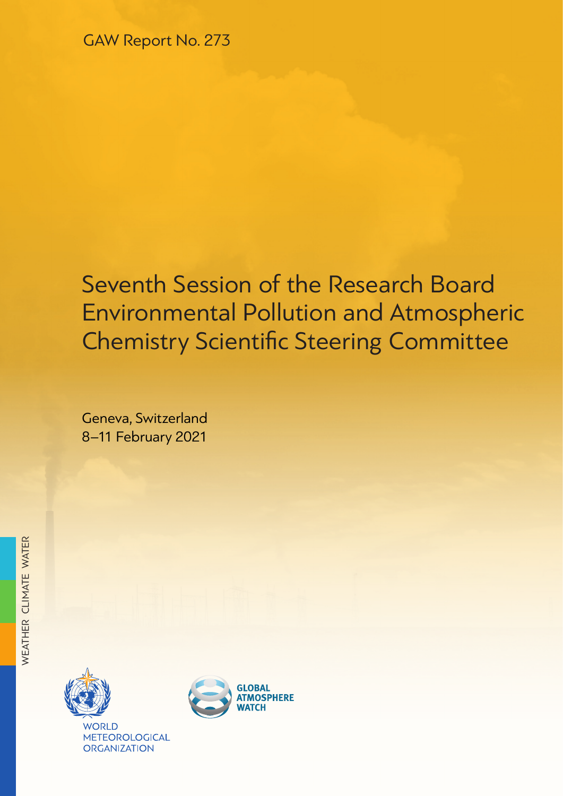# Seventh Session of the Research Board Environmental Pollution and Atmospheric Chemistry Scientific Steering Committee

Geneva, Switzerland 8–11 February 2021



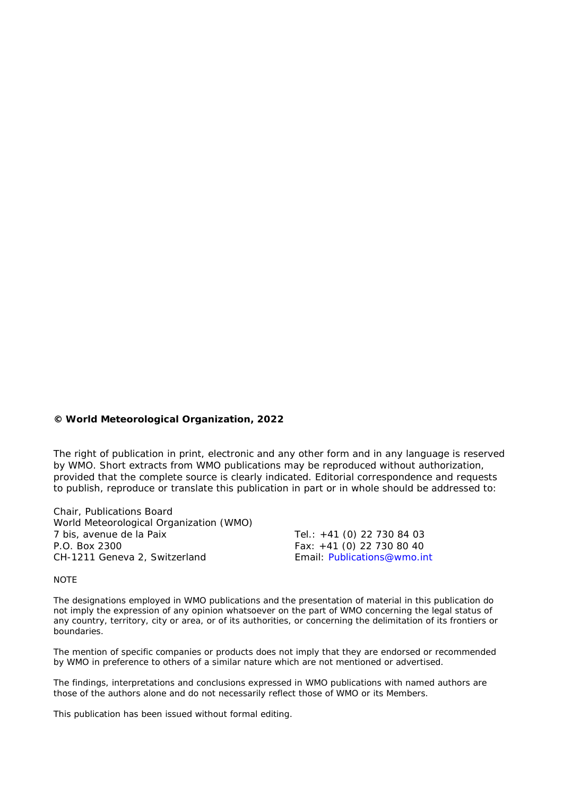#### **© World Meteorological Organization, 2022**

The right of publication in print, electronic and any other form and in any language is reserved by WMO. Short extracts from WMO publications may be reproduced without authorization, provided that the complete source is clearly indicated. Editorial correspondence and requests to publish, reproduce or translate this publication in part or in whole should be addressed to:

Chair, Publications Board World Meteorological Organization (WMO) 7 bis, avenue de la Paix Tel.: +41 (0) 22 730 84 03<br>P.O. Box 2300 Fax: +41 (0) 22 730 80 40 CH-1211 Geneva 2, Switzerland

Fax: +41 (0) 22 730 80 40<br>Email: Publications@wmo.int

**NOTE** 

The designations employed in WMO publications and the presentation of material in this publication do not imply the expression of any opinion whatsoever on the part of WMO concerning the legal status of any country, territory, city or area, or of its authorities, or concerning the delimitation of its frontiers or boundaries.

The mention of specific companies or products does not imply that they are endorsed or recommended by WMO in preference to others of a similar nature which are not mentioned or advertised.

The findings, interpretations and conclusions expressed in WMO publications with named authors are those of the authors alone and do not necessarily reflect those of WMO or its Members.

This publication has been issued without formal editing.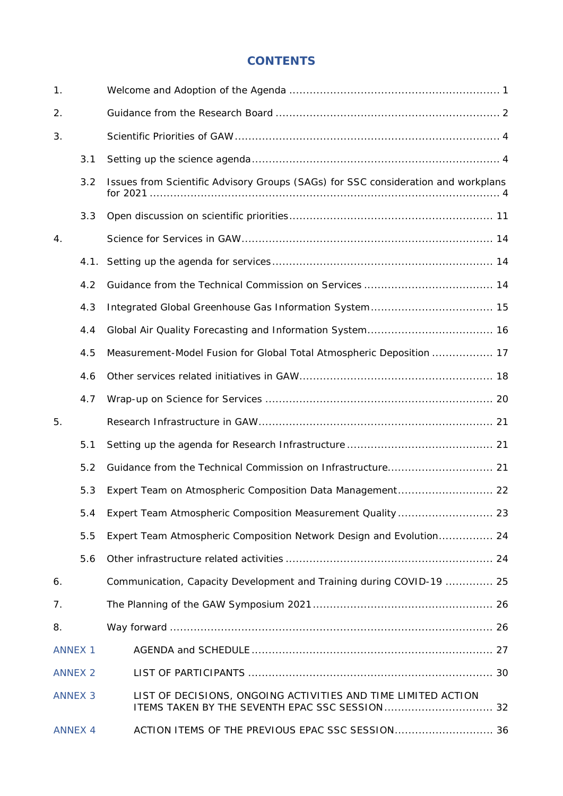# **CONTENTS**

| 1.             |                |                                                                                                                 |  |
|----------------|----------------|-----------------------------------------------------------------------------------------------------------------|--|
| 2.             |                |                                                                                                                 |  |
| 3.             |                |                                                                                                                 |  |
|                | 3.1            |                                                                                                                 |  |
|                | 3.2            | Issues from Scientific Advisory Groups (SAGs) for SSC consideration and workplans                               |  |
|                | 3.3            |                                                                                                                 |  |
| 4.             |                |                                                                                                                 |  |
|                | 4.1.           |                                                                                                                 |  |
|                | 4.2            |                                                                                                                 |  |
|                | 4.3            |                                                                                                                 |  |
|                | 4.4            |                                                                                                                 |  |
|                | 4.5            | Measurement-Model Fusion for Global Total Atmospheric Deposition  17                                            |  |
|                | 4.6            |                                                                                                                 |  |
|                | 4.7            |                                                                                                                 |  |
| 5.             |                |                                                                                                                 |  |
|                | 5.1            |                                                                                                                 |  |
|                | 5.2            |                                                                                                                 |  |
|                | 5.3            |                                                                                                                 |  |
|                | 5.4            |                                                                                                                 |  |
|                | 5.5            | Expert Team Atmospheric Composition Network Design and Evolution 24                                             |  |
|                | 5.6            |                                                                                                                 |  |
| 6.             |                | Communication, Capacity Development and Training during COVID-19  25                                            |  |
| 7.             |                |                                                                                                                 |  |
| 8.             |                |                                                                                                                 |  |
| <b>ANNEX 1</b> |                |                                                                                                                 |  |
| <b>ANNEX 2</b> |                |                                                                                                                 |  |
| <b>ANNEX 3</b> |                | LIST OF DECISIONS, ONGOING ACTIVITIES AND TIME LIMITED ACTION<br>ITEMS TAKEN BY THE SEVENTH EPAC SSC SESSION 32 |  |
|                | <b>ANNEX 4</b> | ACTION ITEMS OF THE PREVIOUS EPAC SSC SESSION 36                                                                |  |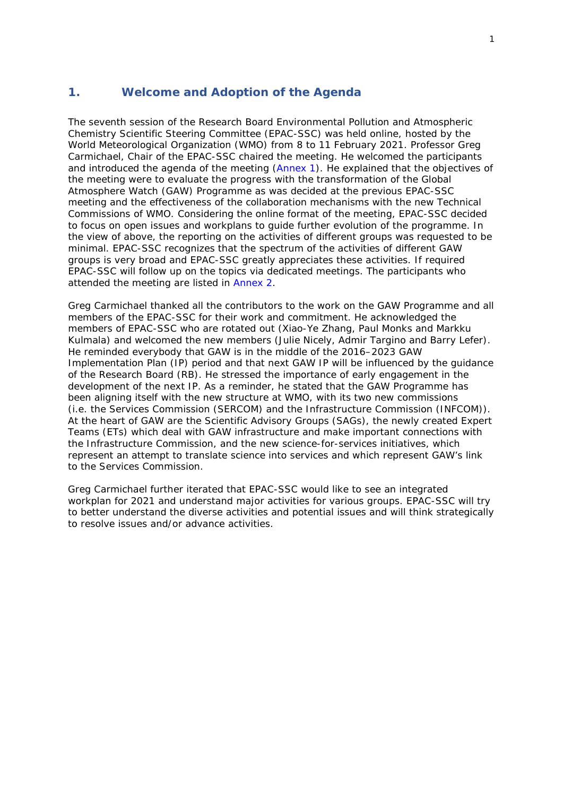## <span id="page-4-0"></span>**1. Welcome and Adoption of the Agenda**

The seventh session of the Research Board Environmental Pollution and Atmospheric Chemistry Scientific Steering Committee (EPAC-SSC) was held online, hosted by the World Meteorological Organization (WMO) from 8 to 11 February 2021. Professor Greg Carmichael, Chair of the EPAC-SSC chaired the meeting. He welcomed the participants and introduced the agenda of the meeting [\(Annex 1\)](#page-30-3). He explained that the objectives of the meeting were to evaluate the progress with the transformation of the Global Atmosphere Watch (GAW) Programme as was decided at the previous EPAC-SSC meeting and the effectiveness of the collaboration mechanisms with the new Technical Commissions of WMO. Considering the online format of the meeting, EPAC-SSC decided to focus on open issues and workplans to guide further evolution of the programme. In the view of above, the reporting on the activities of different groups was requested to be minimal. EPAC-SSC recognizes that the spectrum of the activities of different GAW groups is very broad and EPAC-SSC greatly appreciates these activities. If required EPAC-SSC will follow up on the topics via dedicated meetings. The participants who attended the meeting are listed in [Annex](#page-33-2) 2.

Greg Carmichael thanked all the contributors to the work on the GAW Programme and all members of the EPAC-SSC for their work and commitment. He acknowledged the members of EPAC-SSC who are rotated out (Xiao-Ye Zhang, Paul Monks and Markku Kulmala) and welcomed the new members (Julie Nicely, Admir Targino and Barry Lefer). He reminded everybody that GAW is in the middle of the 2016–2023 GAW Implementation Plan (IP) period and that next GAW IP will be influenced by the guidance of the Research Board (RB). He stressed the importance of early engagement in the development of the next IP. As a reminder, he stated that the GAW Programme has been aligning itself with the new structure at WMO, with its two new commissions (i.e. the Services Commission (SERCOM) and the Infrastructure Commission (INFCOM)). At the heart of GAW are the Scientific Advisory Groups (SAGs), the newly created Expert Teams (ETs) which deal with GAW infrastructure and make important connections with the Infrastructure Commission, and the new science-for-services initiatives, which represent an attempt to translate science into services and which represent GAW's link to the Services Commission.

Greg Carmichael further iterated that EPAC-SSC would like to see an integrated workplan for 2021 and understand major activities for various groups. EPAC-SSC will try to better understand the diverse activities and potential issues and will think strategically to resolve issues and/or advance activities.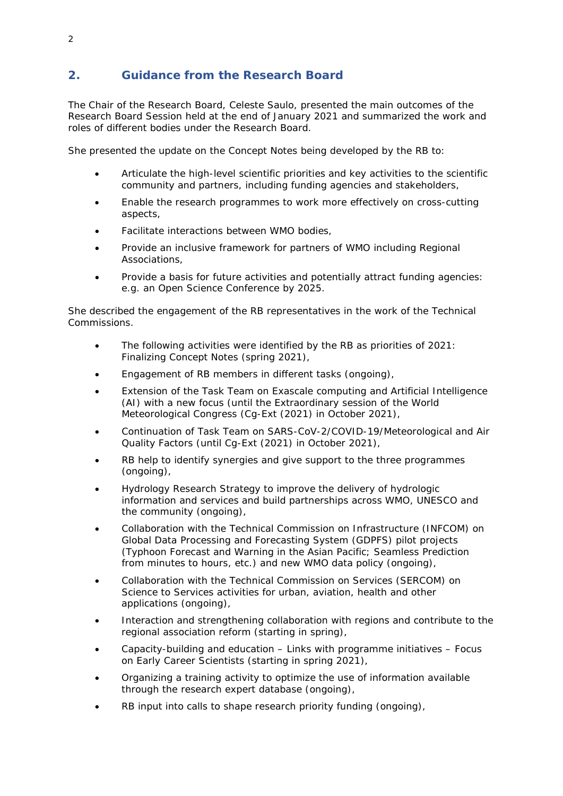# <span id="page-5-0"></span>**2. Guidance from the Research Board**

The Chair of the Research Board, Celeste Saulo, presented the main outcomes of the Research Board Session held at the end of January 2021 and summarized the work and roles of different bodies under the Research Board.

She presented the update on the Concept Notes being developed by the RB to:

- Articulate the high-level scientific priorities and key activities to the scientific community and partners, including funding agencies and stakeholders,
- Enable the research programmes to work more effectively on cross-cutting aspects,
- Facilitate interactions between WMO bodies,
- Provide an inclusive framework for partners of WMO including Regional Associations,
- Provide a basis for future activities and potentially attract funding agencies: e.g. an Open Science Conference by 2025.

She described the engagement of the RB representatives in the work of the Technical Commissions.

- The following activities were identified by the RB as priorities of 2021: Finalizing Concept Notes (spring 2021),
- Engagement of RB members in different tasks (ongoing),
- Extension of the Task Team on Exascale computing and Artificial Intelligence (AI) with a new focus (until the Extraordinary session of the World Meteorological Congress (Cg-Ext (2021) in October 2021),
- Continuation of Task Team on SARS-CoV-2/COVID-19/Meteorological and Air Quality Factors (until Cg-Ext (2021) in October 2021),
- RB help to identify synergies and give support to the three programmes (ongoing),
- Hydrology Research Strategy to improve the delivery of hydrologic information and services and build partnerships across WMO, UNESCO and the community (ongoing),
- Collaboration with the Technical Commission on Infrastructure (INFCOM) on Global Data Processing and Forecasting System (GDPFS) pilot projects (Typhoon Forecast and Warning in the Asian Pacific; Seamless Prediction from minutes to hours, etc.) and new WMO data policy (ongoing),
- Collaboration with the Technical Commission on Services (SERCOM) on Science to Services activities for urban, aviation, health and other applications (ongoing),
- Interaction and strengthening collaboration with regions and contribute to the regional association reform (starting in spring),
- Capacity-building and education Links with programme initiatives Focus on Early Career Scientists (starting in spring 2021),
- Organizing a training activity to optimize the use of information available through the research expert database (ongoing),
- RB input into calls to shape research priority funding (ongoing),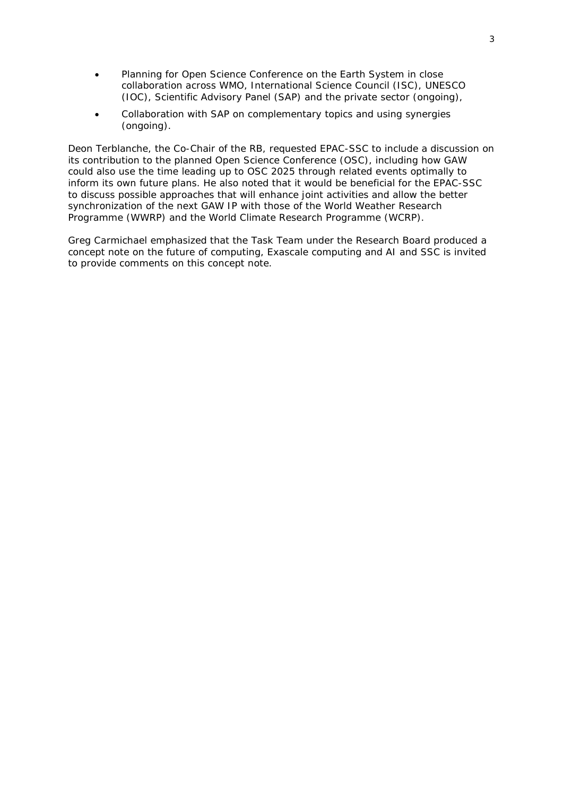- Planning for Open Science Conference on the Earth System in close collaboration across WMO, International Science Council (ISC), UNESCO (IOC), Scientific Advisory Panel (SAP) and the private sector (ongoing),
- Collaboration with SAP on complementary topics and using synergies (ongoing).

Deon Terblanche, the Co-Chair of the RB, requested EPAC-SSC to include a discussion on its contribution to the planned Open Science Conference (OSC), including how GAW could also use the time leading up to OSC 2025 through related events optimally to inform its own future plans. He also noted that it would be beneficial for the EPAC-SSC to discuss possible approaches that will enhance joint activities and allow the better synchronization of the next GAW IP with those of the World Weather Research Programme (WWRP) and the World Climate Research Programme (WCRP).

Greg Carmichael emphasized that the Task Team under the Research Board produced a concept note on the future of computing, Exascale computing and AI and SSC is invited to provide comments on this concept note.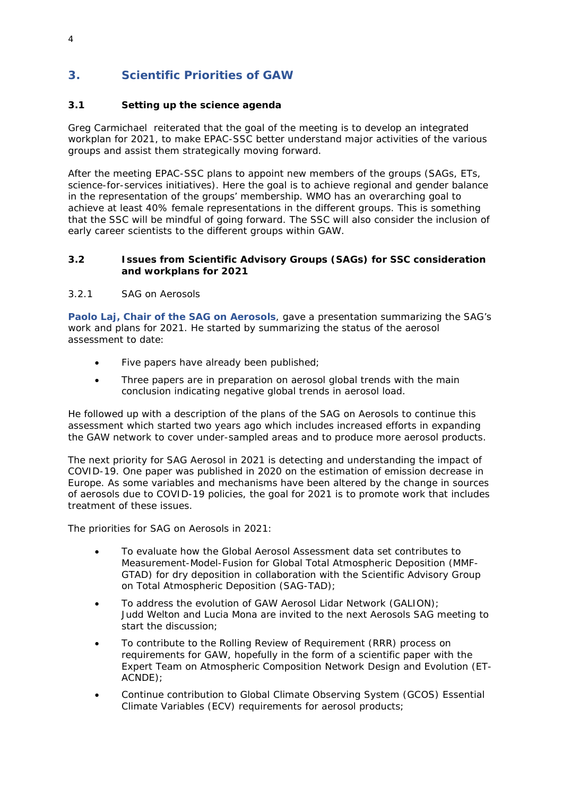# <span id="page-7-0"></span>**3. Scientific Priorities of GAW**

## <span id="page-7-1"></span>**3.1 Setting up the science agenda**

Greg Carmichael reiterated that the goal of the meeting is to develop an integrated workplan for 2021, to make EPAC-SSC better understand major activities of the various groups and assist them strategically moving forward.

After the meeting EPAC-SSC plans to appoint new members of the groups (SAGs, ETs, science-for-services initiatives). Here the goal is to achieve regional and gender balance in the representation of the groups' membership. WMO has an overarching goal to achieve at least 40% female representations in the different groups. This is something that the SSC will be mindful of going forward. The SSC will also consider the inclusion of early career scientists to the different groups within GAW.

#### <span id="page-7-2"></span>**3.2 Issues from Scientific Advisory Groups (SAGs) for SSC consideration and workplans for 2021**

#### *3.2.1 SAG on Aerosols*

**Paolo Laj, Chair of the SAG on Aerosols**, gave a presentation summarizing the SAG's work and plans for 2021. He started by summarizing the status of the aerosol assessment to date:

- Five papers have already been published;
- Three papers are in preparation on aerosol global trends with the main conclusion indicating negative global trends in aerosol load.

He followed up with a description of the plans of the SAG on Aerosols to continue this assessment which started two years ago which includes increased efforts in expanding the GAW network to cover under-sampled areas and to produce more aerosol products.

The next priority for SAG Aerosol in 2021 is detecting and understanding the impact of COVID-19. One paper was published in 2020 on the estimation of emission decrease in Europe. As some variables and mechanisms have been altered by the change in sources of aerosols due to COVID-19 policies, the goal for 2021 is to promote work that includes treatment of these issues.

The priorities for SAG on Aerosols in 2021:

- To evaluate how the Global Aerosol Assessment data set contributes to Measurement-Model-Fusion for Global Total Atmospheric Deposition (MMF-GTAD) for dry deposition in collaboration with the Scientific Advisory Group on Total Atmospheric Deposition (SAG-TAD);
- To address the evolution of GAW Aerosol Lidar Network (GALION); Judd Welton and Lucia Mona are invited to the next Aerosols SAG meeting to start the discussion;
- To contribute to the Rolling Review of Requirement (RRR) process on requirements for GAW, hopefully in the form of a scientific paper with the Expert Team on Atmospheric Composition Network Design and Evolution (ET-ACNDE);
- Continue contribution to Global Climate Observing System (GCOS) Essential Climate Variables (ECV) requirements for aerosol products;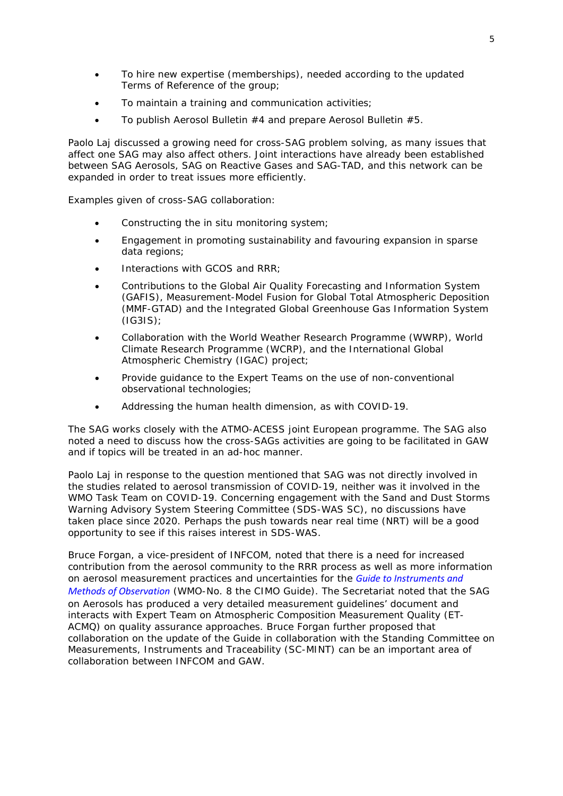- To hire new expertise (memberships), needed according to the updated Terms of Reference of the group;
- To maintain a training and communication activities;
- To publish Aerosol Bulletin #4 and prepare Aerosol Bulletin #5.

Paolo Laj discussed a growing need for cross-SAG problem solving, as many issues that affect one SAG may also affect others. Joint interactions have already been established between SAG Aerosols, SAG on Reactive Gases and SAG-TAD, and this network can be expanded in order to treat issues more efficiently.

Examples given of cross-SAG collaboration:

- Constructing the in situ monitoring system;
- Engagement in promoting sustainability and favouring expansion in sparse data regions;
- Interactions with GCOS and RRR;
- Contributions to the Global Air Quality Forecasting and Information System (GAFIS), Measurement-Model Fusion for Global Total Atmospheric Deposition (MMF-GTAD) and the Integrated Global Greenhouse Gas Information System (IG3IS);
- Collaboration with the World Weather Research Programme (WWRP), World Climate Research Programme (WCRP), and the International Global Atmospheric Chemistry (IGAC) project;
- Provide guidance to the Expert Teams on the use of non-conventional observational technologies;
- Addressing the human health dimension, as with COVID-19.

The SAG works closely with the ATMO-ACESS joint European programme. The SAG also noted a need to discuss how the cross-SAGs activities are going to be facilitated in GAW and if topics will be treated in an ad-hoc manner.

Paolo Laj in response to the question mentioned that SAG was not directly involved in the studies related to aerosol transmission of COVID-19, neither was it involved in the WMO Task Team on COVID-19. Concerning engagement with the Sand and Dust Storms Warning Advisory System Steering Committee (SDS-WAS SC), no discussions have taken place since 2020. Perhaps the push towards near real time (NRT) will be a good opportunity to see if this raises interest in SDS-WAS.

Bruce Forgan, a vice-president of INFCOM, noted that there is a need for increased contribution from the aerosol community to the RRR process as well as more information on aerosol measurement practices and uncertainties for the *[Guide to Instruments and](https://library.wmo.int/index.php?lvl=notice_display&id=12407)  [Methods of Observation](https://library.wmo.int/index.php?lvl=notice_display&id=12407)* (WMO-No. 8 the CIMO Guide). The Secretariat noted that the SAG on Aerosols has produced a very detailed measurement guidelines' document and interacts with Expert Team on Atmospheric Composition Measurement Quality (ET-ACMQ) on quality assurance approaches. Bruce Forgan further proposed that collaboration on the update of the Guide in collaboration with the Standing Committee on Measurements, Instruments and Traceability (SC-MINT) can be an important area of collaboration between INFCOM and GAW.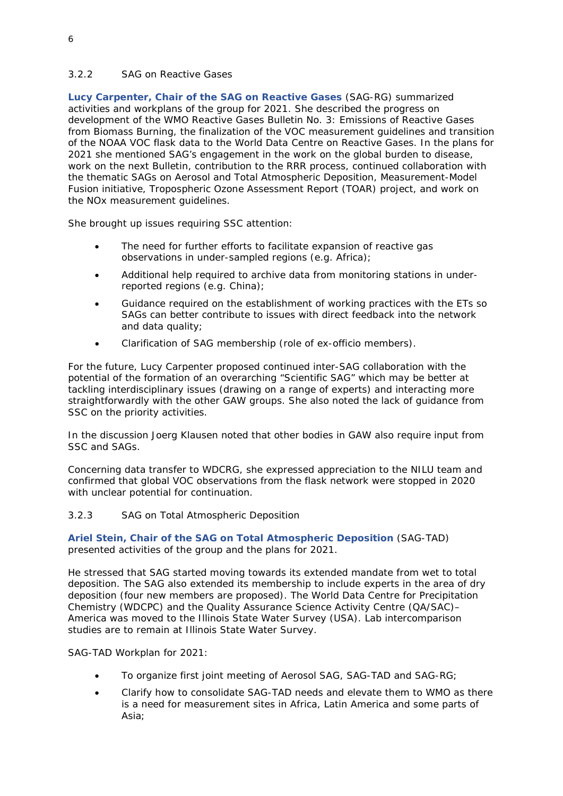## *3.2.2 SAG on Reactive Gases*

**Lucy Carpenter, Chair of the SAG on Reactive Gases** (SAG-RG) summarized activities and workplans of the group for 2021. She described the progress on development of the WMO Reactive Gases Bulletin No. 3: Emissions of Reactive Gases from Biomass Burning, the finalization of the VOC measurement guidelines and transition of the NOAA VOC flask data to the World Data Centre on Reactive Gases. In the plans for 2021 she mentioned SAG's engagement in the work on the global burden to disease, work on the next Bulletin, contribution to the RRR process, continued collaboration with the thematic SAGs on Aerosol and Total Atmospheric Deposition, Measurement-Model Fusion initiative, Tropospheric Ozone Assessment Report (TOAR) project, and work on the NOx measurement guidelines.

She brought up issues requiring SSC attention:

- The need for further efforts to facilitate expansion of reactive gas observations in under-sampled regions (e.g. Africa);
- Additional help required to archive data from monitoring stations in underreported regions (e.g. China);
- Guidance required on the establishment of working practices with the ETs so SAGs can better contribute to issues with direct feedback into the network and data quality;
- Clarification of SAG membership (role of ex-officio members).

For the future, Lucy Carpenter proposed continued inter-SAG collaboration with the potential of the formation of an overarching "Scientific SAG" which may be better at tackling interdisciplinary issues (drawing on a range of experts) and interacting more straightforwardly with the other GAW groups. She also noted the lack of guidance from SSC on the priority activities.

In the discussion Joerg Klausen noted that other bodies in GAW also require input from SSC and SAGs.

Concerning data transfer to WDCRG, she expressed appreciation to the NILU team and confirmed that global VOC observations from the flask network were stopped in 2020 with unclear potential for continuation.

#### *3.2.3 SAG on Total Atmospheric Deposition*

**Ariel Stein, Chair of the SAG on Total Atmospheric Deposition** (SAG-TAD) presented activities of the group and the plans for 2021.

He stressed that SAG started moving towards its extended mandate from wet to total deposition. The SAG also extended its membership to include experts in the area of dry deposition (four new members are proposed). The World Data Centre for Precipitation Chemistry (WDCPC) and the Quality Assurance Science Activity Centre (QA/SAC)– America was moved to the Illinois State Water Survey (USA). Lab intercomparison studies are to remain at Illinois State Water Survey.

SAG-TAD Workplan for 2021:

- To organize first joint meeting of Aerosol SAG, SAG-TAD and SAG-RG;
- Clarify how to consolidate SAG-TAD needs and elevate them to WMO as there is a need for measurement sites in Africa, Latin America and some parts of Asia;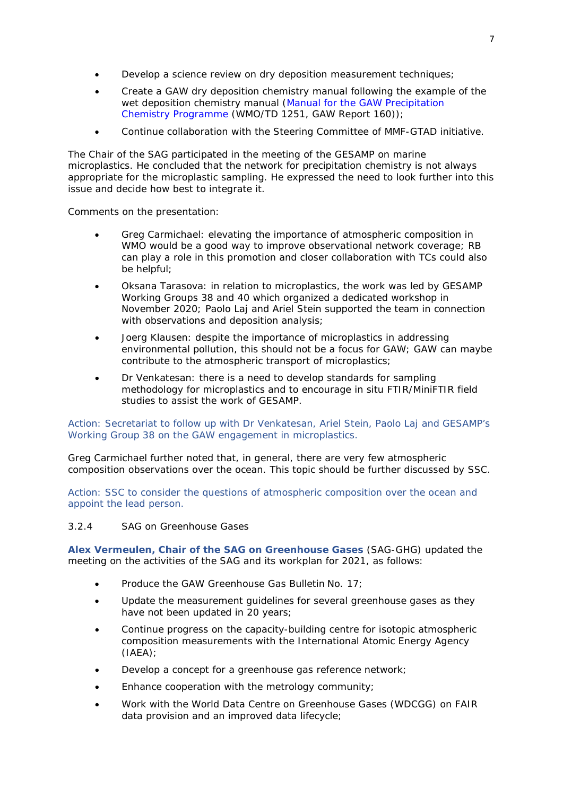- Develop a science review on dry deposition measurement techniques;
- Create a GAW dry deposition chemistry manual following the example of the wet deposition chemistry manual (*[Manual for the GAW Precipitation](https://library.wmo.int/index.php?lvl=notice_display&id=11092) [Chemistry Programme](https://library.wmo.int/index.php?lvl=notice_display&id=11092)* (WMO/TD 1251, GAW Report 160));
- Continue collaboration with the Steering Committee of MMF-GTAD initiative.

The Chair of the SAG participated in the meeting of the GESAMP on marine microplastics. He concluded that the network for precipitation chemistry is not always appropriate for the microplastic sampling. He expressed the need to look further into this issue and decide how best to integrate it.

Comments on the presentation:

- Greg Carmichael: elevating the importance of atmospheric composition in WMO would be a good way to improve observational network coverage; RB can play a role in this promotion and closer collaboration with TCs could also be helpful;
- Oksana Tarasova: in relation to microplastics, the work was led by GESAMP Working Groups 38 and 40 which organized a dedicated workshop in November 2020; Paolo Laj and Ariel Stein supported the team in connection with observations and deposition analysis;
- Joerg Klausen: despite the importance of microplastics in addressing environmental pollution, this should not be a focus for GAW; GAW can maybe contribute to the atmospheric transport of microplastics;
- Dr Venkatesan: there is a need to develop standards for sampling methodology for microplastics and to encourage in situ FTIR/MiniFTIR field studies to assist the work of GESAMP.

Action: Secretariat to follow up with Dr Venkatesan, Ariel Stein, Paolo Laj and GESAMP's Working Group 38 on the GAW engagement in microplastics.

Greg Carmichael further noted that, in general, there are very few atmospheric composition observations over the ocean. This topic should be further discussed by SSC.

Action: SSC to consider the questions of atmospheric composition over the ocean and appoint the lead person.

#### *3.2.4 SAG on Greenhouse Gases*

**Alex Vermeulen, Chair of the SAG on Greenhouse Gases** (SAG-GHG) updated the meeting on the activities of the SAG and its workplan for 2021, as follows:

- Produce the GAW Greenhouse Gas Bulletin No. 17;
- Update the measurement guidelines for several greenhouse gases as they have not been updated in 20 years;
- Continue progress on the capacity-building centre for isotopic atmospheric composition measurements with the International Atomic Energy Agency (IAEA);
- Develop a concept for a greenhouse gas reference network;
- Enhance cooperation with the metrology community;
- Work with the World Data Centre on Greenhouse Gases (WDCGG) on FAIR data provision and an improved data lifecycle;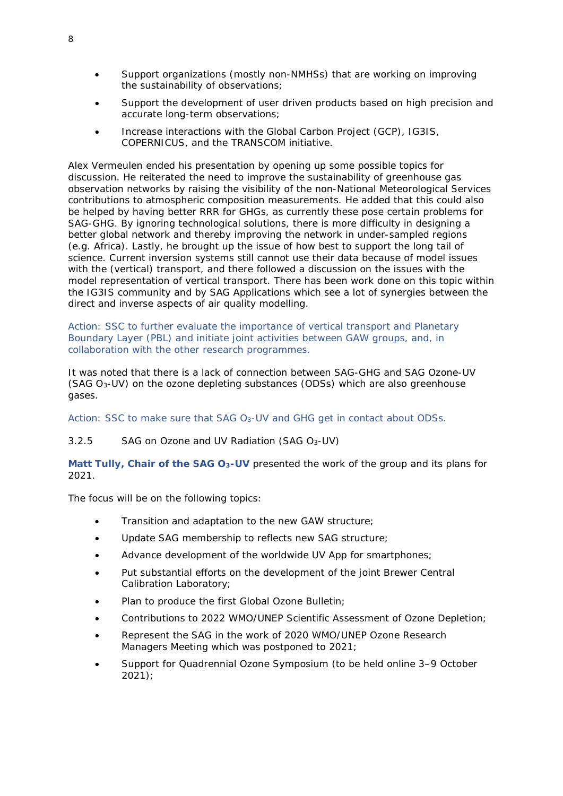- Support organizations (mostly non-NMHSs) that are working on improving the sustainability of observations;
- Support the development of user driven products based on high precision and accurate long-term observations;
- Increase interactions with the Global Carbon Project (GCP), IG3IS, COPERNICUS, and the TRANSCOM initiative.

Alex Vermeulen ended his presentation by opening up some possible topics for discussion. He reiterated the need to improve the sustainability of greenhouse gas observation networks by raising the visibility of the non-National Meteorological Services contributions to atmospheric composition measurements. He added that this could also be helped by having better RRR for GHGs, as currently these pose certain problems for SAG-GHG. By ignoring technological solutions, there is more difficulty in designing a better global network and thereby improving the network in under-sampled regions (e.g. Africa). Lastly, he brought up the issue of how best to support the long tail of science. Current inversion systems still cannot use their data because of model issues with the (vertical) transport, and there followed a discussion on the issues with the model representation of vertical transport. There has been work done on this topic within the IG3IS community and by SAG Applications which see a lot of synergies between the direct and inverse aspects of air quality modelling.

Action: SSC to further evaluate the importance of vertical transport and Planetary Boundary Layer (PBL) and initiate joint activities between GAW groups, and, in collaboration with the other research programmes.

It was noted that there is a lack of connection between SAG-GHG and SAG Ozone-UV (SAG O3-UV) on the ozone depleting substances (ODSs) which are also greenhouse gases.

Action: SSC to make sure that SAG O3-UV and GHG get in contact about ODSs.

#### *3.2.5 SAG on Ozone and UV Radiation (SAG O3-UV)*

**Matt Tully, Chair of the SAG O3-UV** presented the work of the group and its plans for 2021.

The focus will be on the following topics:

- Transition and adaptation to the new GAW structure;
- Update SAG membership to reflects new SAG structure;
- Advance development of the worldwide UV App for smartphones:
- Put substantial efforts on the development of the joint Brewer Central Calibration Laboratory;
- Plan to produce the first Global Ozone Bulletin;
- Contributions to 2022 WMO/UNEP Scientific Assessment of Ozone Depletion;
- Represent the SAG in the work of 2020 WMO/UNEP Ozone Research Managers Meeting which was postponed to 2021;
- Support for Quadrennial Ozone Symposium (to be held online 3–9 October 2021);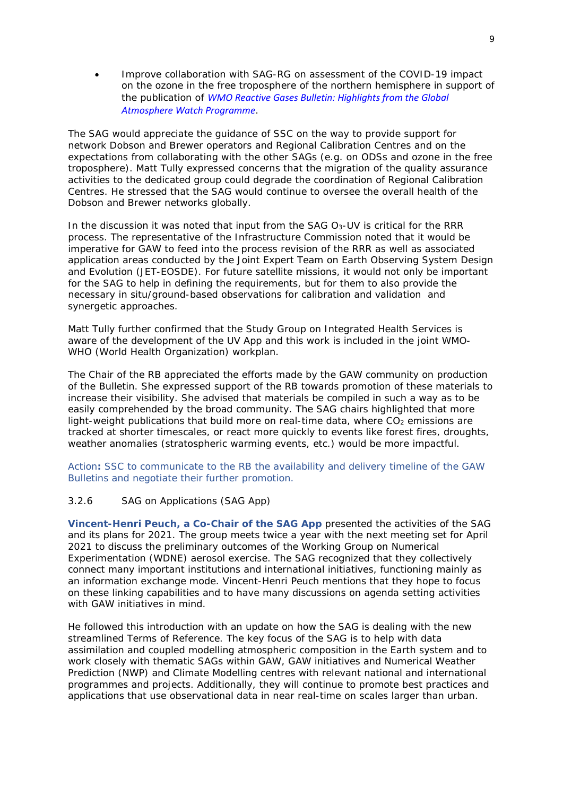• Improve collaboration with SAG-RG on assessment of the COVID-19 impact on the ozone in the free troposphere of the northern hemisphere in support of the publication of *[WMO Reactive Gases Bulletin: Highlights from the Global](https://library.wmo.int/index.php?lvl=notice_display&id=19876)  [Atmosphere Watch Programme](https://library.wmo.int/index.php?lvl=notice_display&id=19876)*.

The SAG would appreciate the guidance of SSC on the way to provide support for network Dobson and Brewer operators and Regional Calibration Centres and on the expectations from collaborating with the other SAGs (e.g. on ODSs and ozone in the free troposphere). Matt Tully expressed concerns that the migration of the quality assurance activities to the dedicated group could degrade the coordination of Regional Calibration Centres. He stressed that the SAG would continue to oversee the overall health of the Dobson and Brewer networks globally.

In the discussion it was noted that input from the  $SAG O_3$ -UV is critical for the RRR process. The representative of the Infrastructure Commission noted that it would be imperative for GAW to feed into the process revision of the RRR as well as associated application areas conducted by the Joint Expert Team on Earth Observing System Design and Evolution (JET-EOSDE). For future satellite missions, it would not only be important for the SAG to help in defining the requirements, but for them to also provide the necessary in situ/ground-based observations for calibration and validation and synergetic approaches.

Matt Tully further confirmed that the Study Group on Integrated Health Services is aware of the development of the UV App and this work is included in the joint WMO-WHO (World Health Organization) workplan.

The Chair of the RB appreciated the efforts made by the GAW community on production of the Bulletin. She expressed support of the RB towards promotion of these materials to increase their visibility. She advised that materials be compiled in such a way as to be easily comprehended by the broad community. The SAG chairs highlighted that more light-weight publications that build more on real-time data, where  $CO<sub>2</sub>$  emissions are tracked at shorter timescales, or react more quickly to events like forest fires, droughts, weather anomalies (stratospheric warming events, etc.) would be more impactful.

Action**:** SSC to communicate to the RB the availability and delivery timeline of the GAW Bulletins and negotiate their further promotion.

#### *3.2.6 SAG on Applications (SAG App)*

**Vincent-Henri Peuch, a Co-Chair of the SAG App** presented the activities of the SAG and its plans for 2021. The group meets twice a year with the next meeting set for April 2021 to discuss the preliminary outcomes of the Working Group on Numerical Experimentation (WDNE) aerosol exercise. The SAG recognized that they collectively connect many important institutions and international initiatives, functioning mainly as an information exchange mode. Vincent-Henri Peuch mentions that they hope to focus on these linking capabilities and to have many discussions on agenda setting activities with GAW initiatives in mind.

He followed this introduction with an update on how the SAG is dealing with the new streamlined Terms of Reference. The key focus of the SAG is to help with data assimilation and coupled modelling atmospheric composition in the Earth system and to work closely with thematic SAGs within GAW, GAW initiatives and Numerical Weather Prediction (NWP) and Climate Modelling centres with relevant national and international programmes and projects. Additionally, they will continue to promote best practices and applications that use observational data in near real-time on scales larger than urban.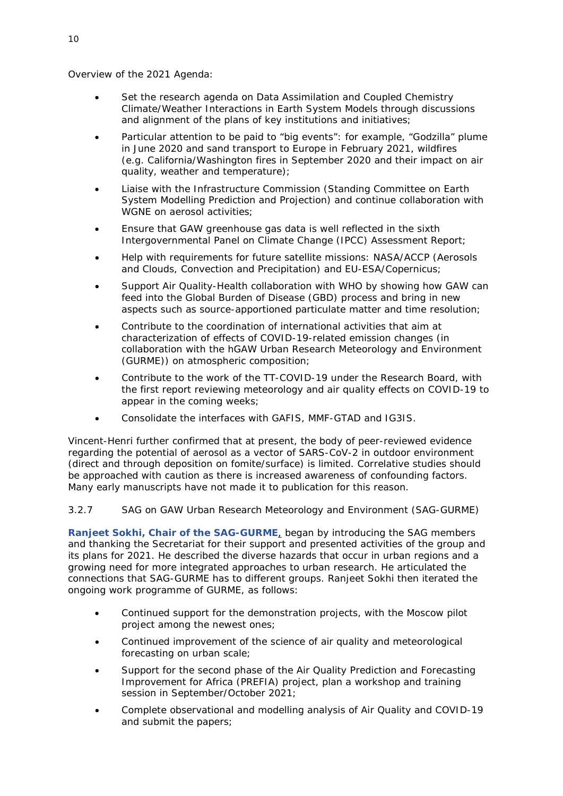Overview of the 2021 Agenda:

- Set the research agenda on Data Assimilation and Coupled Chemistry Climate/Weather Interactions in Earth System Models through discussions and alignment of the plans of key institutions and initiatives;
- Particular attention to be paid to "big events": for example, "Godzilla" plume in June 2020 and sand transport to Europe in February 2021, wildfires (e.g. California/Washington fires in September 2020 and their impact on air quality, weather and temperature);
- Liaise with the Infrastructure Commission (Standing Committee on Earth System Modelling Prediction and Projection) and continue collaboration with WGNE on aerosol activities;
- Ensure that GAW greenhouse gas data is well reflected in the sixth Intergovernmental Panel on Climate Change (IPCC) Assessment Report;
- Help with requirements for future satellite missions: NASA/ACCP (Aerosols and Clouds, Convection and Precipitation) and EU-ESA/Copernicus;
- Support Air Quality-Health collaboration with WHO by showing how GAW can feed into the Global Burden of Disease (GBD) process and bring in new aspects such as source-apportioned particulate matter and time resolution;
- Contribute to the coordination of international activities that aim at characterization of effects of COVID-19-related emission changes (in collaboration with the hGAW Urban Research Meteorology and Environment (GURME)) on atmospheric composition;
- Contribute to the work of the TT-COVID-19 under the Research Board, with the first report reviewing meteorology and air quality effects on COVID-19 to appear in the coming weeks;
- Consolidate the interfaces with GAFIS, MMF-GTAD and IG3IS.

Vincent-Henri further confirmed that at present, the body of peer-reviewed evidence regarding the potential of aerosol as a vector of SARS-CoV-2 in outdoor environment (direct and through deposition on fomite/surface) is limited. Correlative studies should be approached with caution as there is increased awareness of confounding factors. Many early manuscripts have not made it to publication for this reason.

## *3.2.7 SAG on GAW Urban Research Meteorology and Environment (SAG-GURME)*

**Ranjeet Sokhi, Chair of the SAG-GURME**, began by introducing the SAG members and thanking the Secretariat for their support and presented activities of the group and its plans for 2021. He described the diverse hazards that occur in urban regions and a growing need for more integrated approaches to urban research. He articulated the connections that SAG-GURME has to different groups. Ranjeet Sokhi then iterated the ongoing work programme of GURME, as follows:

- Continued support for the demonstration projects, with the Moscow pilot project among the newest ones;
- Continued improvement of the science of air quality and meteorological forecasting on urban scale;
- Support for the second phase of the Air Quality Prediction and Forecasting Improvement for Africa (PREFIA) project, plan a workshop and training session in September/October 2021;
- Complete observational and modelling analysis of Air Quality and COVID-19 and submit the papers;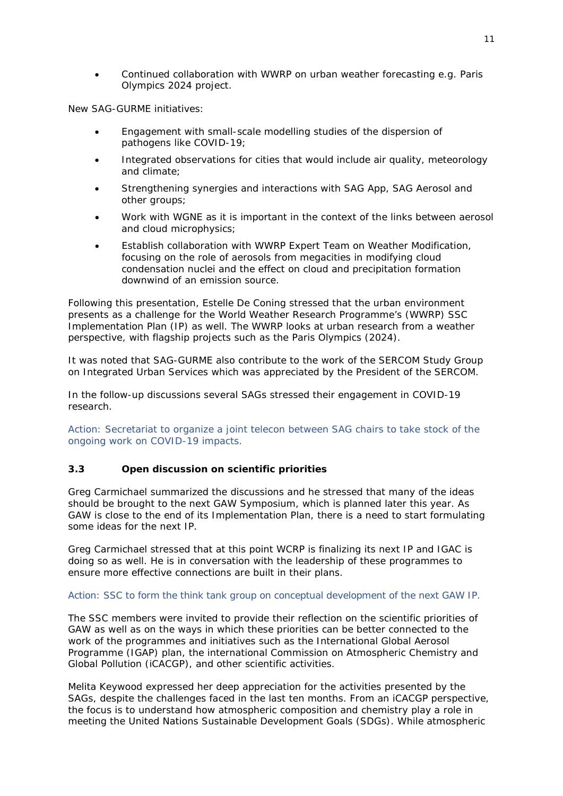• Continued collaboration with WWRP on urban weather forecasting e.g. Paris Olympics 2024 project.

New SAG-GURME initiatives:

- Engagement with small-scale modelling studies of the dispersion of pathogens like COVID-19;
- Integrated observations for cities that would include air quality, meteorology and climate;
- Strengthening synergies and interactions with SAG App, SAG Aerosol and other groups;
- Work with WGNE as it is important in the context of the links between aerosol and cloud microphysics;
- Establish collaboration with WWRP Expert Team on Weather Modification, focusing on the role of aerosols from megacities in modifying cloud condensation nuclei and the effect on cloud and precipitation formation downwind of an emission source.

Following this presentation, Estelle De Coning stressed that the urban environment presents as a challenge for the World Weather Research Programme's (WWRP) SSC Implementation Plan (IP) as well. The WWRP looks at urban research from a weather perspective, with flagship projects such as the Paris Olympics (2024).

It was noted that SAG-GURME also contribute to the work of the SERCOM Study Group on Integrated Urban Services which was appreciated by the President of the SERCOM.

In the follow-up discussions several SAGs stressed their engagement in COVID-19 research.

Action: Secretariat to organize a joint telecon between SAG chairs to take stock of the ongoing work on COVID-19 impacts.

#### <span id="page-14-0"></span>**3.3 Open discussion on scientific priorities**

Greg Carmichael summarized the discussions and he stressed that many of the ideas should be brought to the next GAW Symposium, which is planned later this year. As GAW is close to the end of its Implementation Plan, there is a need to start formulating some ideas for the next IP.

Greg Carmichael stressed that at this point WCRP is finalizing its next IP and IGAC is doing so as well. He is in conversation with the leadership of these programmes to ensure more effective connections are built in their plans.

#### Action: SSC to form the think tank group on conceptual development of the next GAW IP.

The SSC members were invited to provide their reflection on the scientific priorities of GAW as well as on the ways in which these priorities can be better connected to the work of the programmes and initiatives such as the International Global Aerosol Programme (IGAP) plan, the international Commission on Atmospheric Chemistry and Global Pollution (iCACGP), and other scientific activities.

Melita Keywood expressed her deep appreciation for the activities presented by the SAGs, despite the challenges faced in the last ten months. From an iCACGP perspective, the focus is to understand how atmospheric composition and chemistry play a role in meeting the United Nations Sustainable Development Goals (SDGs). While atmospheric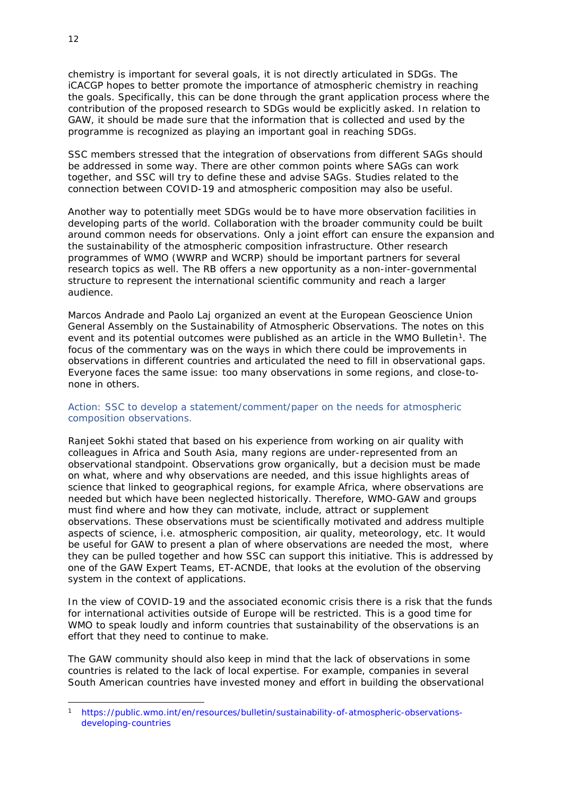chemistry is important for several goals, it is not directly articulated in SDGs. The iCACGP hopes to better promote the importance of atmospheric chemistry in reaching the goals. Specifically, this can be done through the grant application process where the contribution of the proposed research to SDGs would be explicitly asked. In relation to GAW, it should be made sure that the information that is collected and used by the programme is recognized as playing an important goal in reaching SDGs.

SSC members stressed that the integration of observations from different SAGs should be addressed in some way. There are other common points where SAGs can work together, and SSC will try to define these and advise SAGs. Studies related to the connection between COVID-19 and atmospheric composition may also be useful.

Another way to potentially meet SDGs would be to have more observation facilities in developing parts of the world. Collaboration with the broader community could be built around common needs for observations. Only a joint effort can ensure the expansion and the sustainability of the atmospheric composition infrastructure. Other research programmes of WMO (WWRP and WCRP) should be important partners for several research topics as well. The RB offers a new opportunity as a non-inter-governmental structure to represent the international scientific community and reach a larger audience.

Marcos Andrade and Paolo Laj organized an event at the European Geoscience Union General Assembly on the Sustainability of Atmospheric Observations. The notes on this event and its potential outcomes were published as an article in the WMO Bulletin<sup>[1](#page-15-0)</sup>. The focus of the commentary was on the ways in which there could be improvements in observations in different countries and articulated the need to fill in observational gaps. Everyone faces the same issue: too many observations in some regions, and close-tonone in others.

#### Action: SSC to develop a statement/comment/paper on the needs for atmospheric composition observations.

Ranjeet Sokhi stated that based on his experience from working on air quality with colleagues in Africa and South Asia, many regions are under-represented from an observational standpoint. Observations grow organically, but a decision must be made on what, where and why observations are needed, and this issue highlights areas of science that linked to geographical regions, for example Africa, where observations are needed but which have been neglected historically. Therefore, WMO-GAW and groups must find where and how they can motivate, include, attract or supplement observations. These observations must be scientifically motivated and address multiple aspects of science, i.e. atmospheric composition, air quality, meteorology, etc. It would be useful for GAW to present a plan of where observations are needed the most, where they can be pulled together and how SSC can support this initiative. This is addressed by one of the GAW Expert Teams, ET-ACNDE, that looks at the evolution of the observing system in the context of applications.

In the view of COVID-19 and the associated economic crisis there is a risk that the funds for international activities outside of Europe will be restricted. This is a good time for WMO to speak loudly and inform countries that sustainability of the observations is an effort that they need to continue to make.

The GAW community should also keep in mind that the lack of observations in some countries is related to the lack of local expertise. For example, companies in several South American countries have invested money and effort in building the observational

<span id="page-15-0"></span><sup>1</sup> [https://public.wmo.int/en/resources/bulletin/sustainability-of-atmospheric-observations](https://public.wmo.int/en/resources/bulletin/sustainability-of-atmospheric-observations-developing-countries)[developing-countries](https://public.wmo.int/en/resources/bulletin/sustainability-of-atmospheric-observations-developing-countries)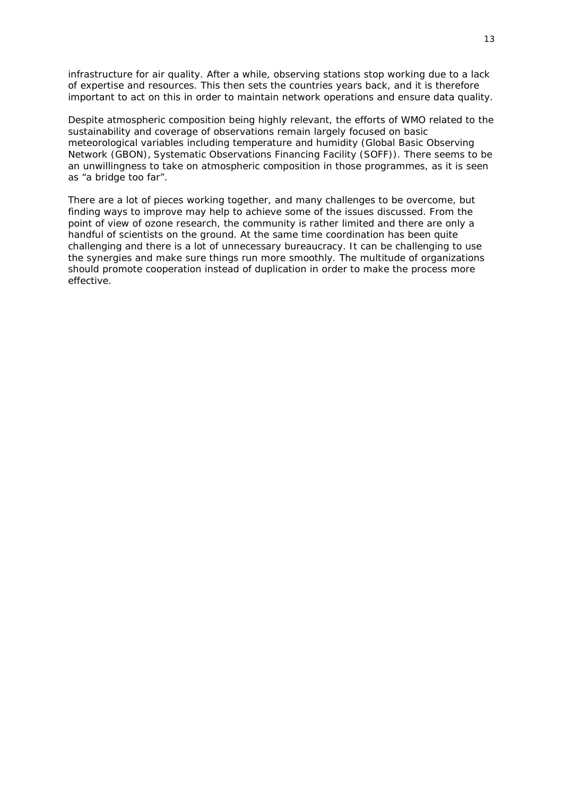infrastructure for air quality. After a while, observing stations stop working due to a lack of expertise and resources. This then sets the countries years back, and it is therefore important to act on this in order to maintain network operations and ensure data quality.

Despite atmospheric composition being highly relevant, the efforts of WMO related to the sustainability and coverage of observations remain largely focused on basic meteorological variables including temperature and humidity (Global Basic Observing Network (GBON), Systematic Observations Financing Facility (SOFF)). There seems to be an unwillingness to take on atmospheric composition in those programmes, as it is seen as "a bridge too far".

There are a lot of pieces working together, and many challenges to be overcome, but finding ways to improve may help to achieve some of the issues discussed. From the point of view of ozone research, the community is rather limited and there are only a handful of scientists on the ground. At the same time coordination has been quite challenging and there is a lot of unnecessary bureaucracy. It can be challenging to use the synergies and make sure things run more smoothly. The multitude of organizations should promote cooperation instead of duplication in order to make the process more effective.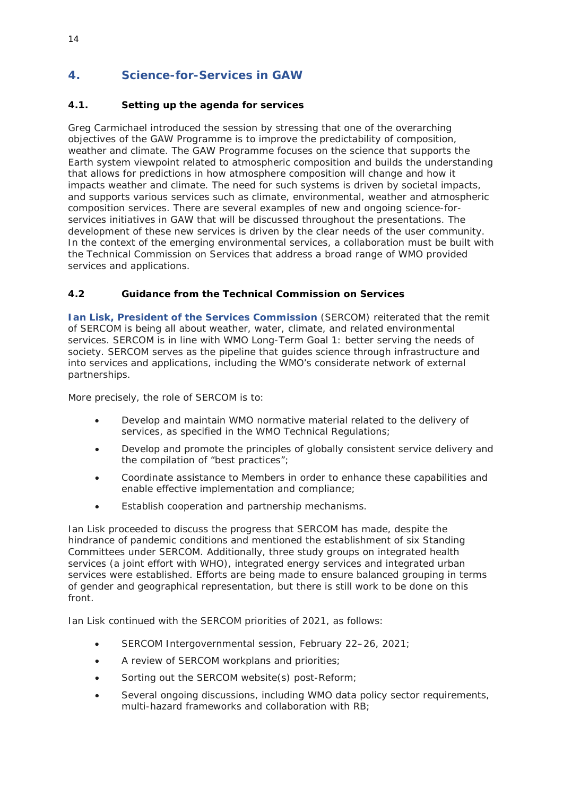# <span id="page-17-0"></span>**4. Science-for-Services in GAW**

# <span id="page-17-1"></span>**4.1. Setting up the agenda for services**

Greg Carmichael introduced the session by stressing that one of the overarching objectives of the GAW Programme is to improve the predictability of composition, weather and climate. The GAW Programme focuses on the science that supports the Earth system viewpoint related to atmospheric composition and builds the understanding that allows for predictions in how atmosphere composition will change and how it impacts weather and climate. The need for such systems is driven by societal impacts, and supports various services such as climate, environmental, weather and atmospheric composition services. There are several examples of new and ongoing science-forservices initiatives in GAW that will be discussed throughout the presentations. The development of these new services is driven by the clear needs of the user community. In the context of the emerging environmental services, a collaboration must be built with the Technical Commission on Services that address a broad range of WMO provided services and applications.

## <span id="page-17-2"></span>**4.2 Guidance from the Technical Commission on Services**

**Ian Lisk, President of the Services Commission** (SERCOM) reiterated that the remit of SERCOM is being all about weather, water, climate, and related environmental services. SERCOM is in line with WMO Long-Term Goal 1: better serving the needs of society. SERCOM serves as the pipeline that guides science through infrastructure and into services and applications, including the WMO's considerate network of external partnerships.

More precisely, the role of SERCOM is to:

- Develop and maintain WMO normative material related to the delivery of services, as specified in the WMO Technical Regulations;
- Develop and promote the principles of globally consistent service delivery and the compilation of "best practices";
- Coordinate assistance to Members in order to enhance these capabilities and enable effective implementation and compliance;
- Establish cooperation and partnership mechanisms.

Ian Lisk proceeded to discuss the progress that SERCOM has made, despite the hindrance of pandemic conditions and mentioned the establishment of six Standing Committees under SERCOM. Additionally, three study groups on integrated health services (a joint effort with WHO), integrated energy services and integrated urban services were established. Efforts are being made to ensure balanced grouping in terms of gender and geographical representation, but there is still work to be done on this front.

Ian Lisk continued with the SERCOM priorities of 2021, as follows:

- SERCOM Intergovernmental session, February 22–26, 2021;
- A review of SERCOM workplans and priorities;
- Sorting out the SERCOM website(s) post-Reform;
- Several ongoing discussions, including WMO data policy sector requirements, multi-hazard frameworks and collaboration with RB;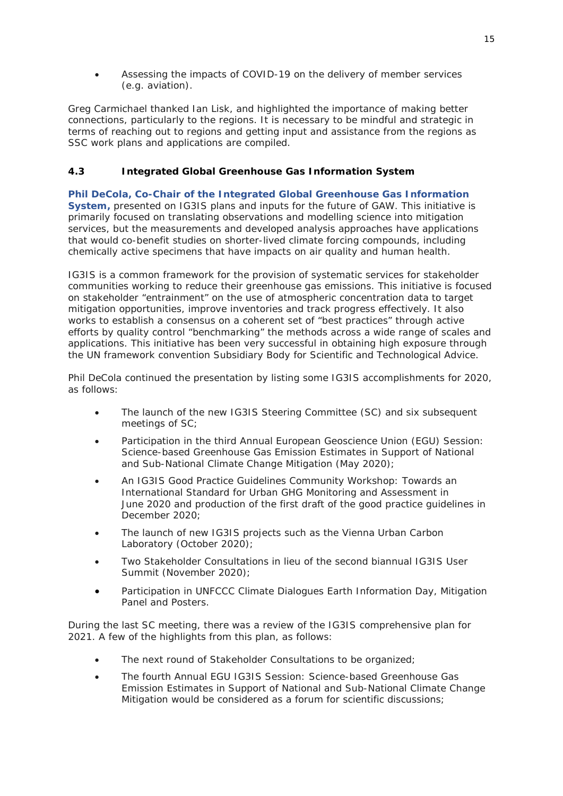• Assessing the impacts of COVID-19 on the delivery of member services (e.g. aviation).

Greg Carmichael thanked Ian Lisk, and highlighted the importance of making better connections, particularly to the regions. It is necessary to be mindful and strategic in terms of reaching out to regions and getting input and assistance from the regions as SSC work plans and applications are compiled.

## <span id="page-18-0"></span>**4.3 Integrated Global Greenhouse Gas Information System**

# **Phil DeCola, Co-Chair of the Integrated Global Greenhouse Gas Information**

**System,** presented on IG3IS plans and inputs for the future of GAW. This initiative is primarily focused on translating observations and modelling science into mitigation services, but the measurements and developed analysis approaches have applications that would co-benefit studies on shorter-lived climate forcing compounds, including chemically active specimens that have impacts on air quality and human health.

IG3IS is a common framework for the provision of systematic services for stakeholder communities working to reduce their greenhouse gas emissions. This initiative is focused on stakeholder "entrainment" on the use of atmospheric concentration data to target mitigation opportunities, improve inventories and track progress effectively. It also works to establish a consensus on a coherent set of "best practices" through active efforts by quality control "benchmarking" the methods across a wide range of scales and applications. This initiative has been very successful in obtaining high exposure through the UN framework convention Subsidiary Body for Scientific and Technological Advice.

Phil DeCola continued the presentation by listing some IG3IS accomplishments for 2020, as follows:

- The launch of the new IG3IS Steering Committee (SC) and six subsequent meetings of SC;
- Participation in the third Annual European Geoscience Union (EGU) Session: Science-based Greenhouse Gas Emission Estimates in Support of National and Sub-National Climate Change Mitigation (May 2020);
- An IG3IS Good Practice Guidelines Community Workshop: Towards an International Standard for Urban GHG Monitoring and Assessment in June 2020 and production of the first draft of the good practice guidelines in December 2020;
- The launch of new IG3IS projects such as the Vienna Urban Carbon Laboratory (October 2020);
- Two Stakeholder Consultations in lieu of the second biannual IG3IS User Summit (November 2020);
- Participation in UNFCCC Climate Dialogues Earth Information Day, Mitigation Panel and Posters.

During the last SC meeting, there was a review of the IG3IS comprehensive plan for 2021. A few of the highlights from this plan, as follows:

- The next round of Stakeholder Consultations to be organized;
- The fourth Annual EGU IG3IS Session: Science-based Greenhouse Gas Emission Estimates in Support of National and Sub-National Climate Change Mitigation would be considered as a forum for scientific discussions;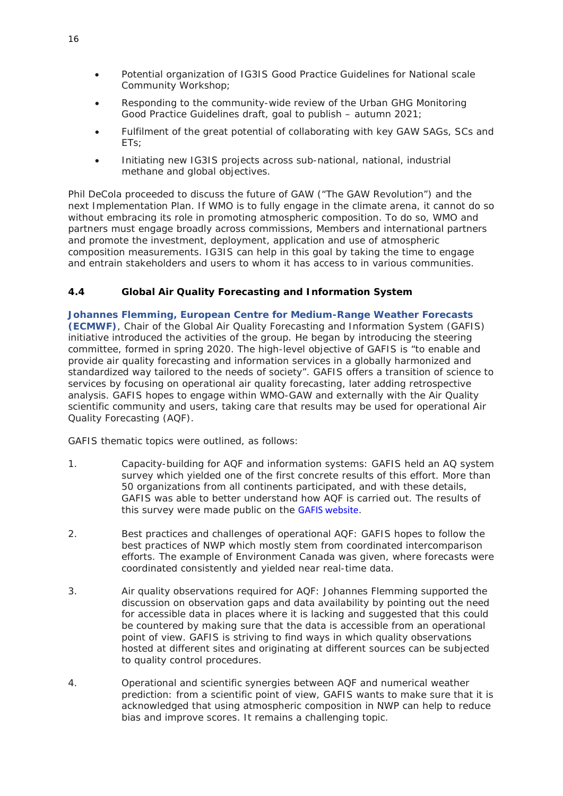- Potential organization of IG3IS Good Practice Guidelines for National scale Community Workshop;
- Responding to the community-wide review of the Urban GHG Monitoring Good Practice Guidelines draft, goal to publish – autumn 2021;
- Fulfilment of the great potential of collaborating with key GAW SAGs, SCs and ETs;
- Initiating new IG3IS projects across sub-national, national, industrial methane and global objectives.

Phil DeCola proceeded to discuss the future of GAW ("The GAW Revolution") and the next Implementation Plan. If WMO is to fully engage in the climate arena, it cannot do so without embracing its role in promoting atmospheric composition. To do so, WMO and partners must engage broadly across commissions, Members and international partners and promote the investment, deployment, application and use of atmospheric composition measurements. IG3IS can help in this goal by taking the time to engage and entrain stakeholders and users to whom it has access to in various communities.

## <span id="page-19-0"></span>**4.4 Global Air Quality Forecasting and Information System**

**Johannes Flemming, European Centre for Medium-Range Weather Forecasts (ECMWF)**, Chair of the Global Air Quality Forecasting and Information System (GAFIS) initiative introduced the activities of the group. He began by introducing the steering committee, formed in spring 2020. The high-level objective of GAFIS is "to enable and provide air quality forecasting and information services in a globally harmonized and standardized way tailored to the needs of society". GAFIS offers a transition of science to services by focusing on operational air quality forecasting, later adding retrospective analysis. GAFIS hopes to engage within WMO-GAW and externally with the Air Quality scientific community and users, taking care that results may be used for operational Air Quality Forecasting (AQF).

GAFIS thematic topics were outlined, as follows:

- 1. Capacity-building for AQF and information systems: GAFIS held an AQ system survey which yielded one of the first concrete results of this effort. More than 50 organizations from all continents participated, and with these details, GAFIS was able to better understand how AQF is carried out. The results of this survey were made public on the [GAFIS website](https://community.wmo.int/activity-areas/gaw/science-for-services/gafis).
- 2. Best practices and challenges of operational AQF: GAFIS hopes to follow the best practices of NWP which mostly stem from coordinated intercomparison efforts. The example of Environment Canada was given, where forecasts were coordinated consistently and yielded near real-time data.
- 3. Air quality observations required for AQF: Johannes Flemming supported the discussion on observation gaps and data availability by pointing out the need for accessible data in places where it is lacking and suggested that this could be countered by making sure that the data is accessible from an operational point of view. GAFIS is striving to find ways in which quality observations hosted at different sites and originating at different sources can be subjected to quality control procedures.
- 4. Operational and scientific synergies between AQF and numerical weather prediction: from a scientific point of view, GAFIS wants to make sure that it is acknowledged that using atmospheric composition in NWP can help to reduce bias and improve scores. It remains a challenging topic.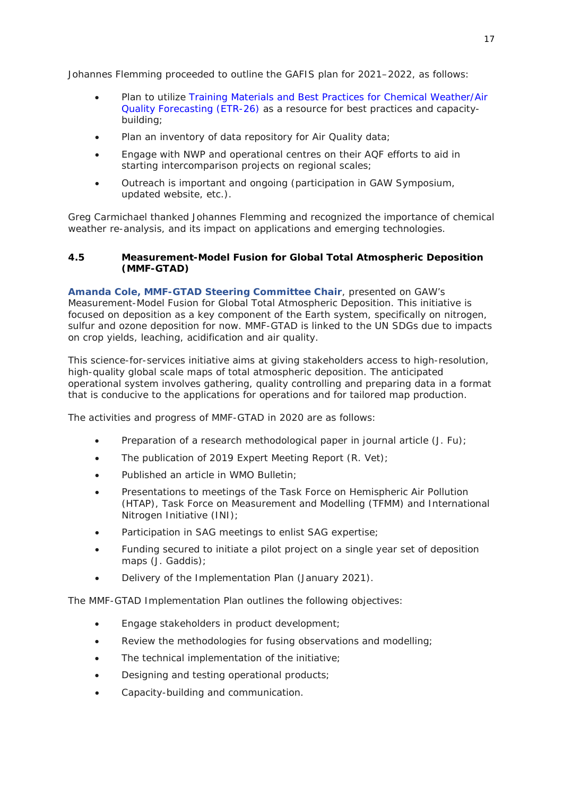Johannes Flemming proceeded to outline the GAFIS plan for 2021–2022, as follows:

- Plan to utilize *[Training Materials and Best Practices for Chemical Weather/Air](https://library.wmo.int/index.php?lvl=notice_display&id=21801)  [Quality Forecasting \(ETR-26\)](https://library.wmo.int/index.php?lvl=notice_display&id=21801)* as a resource for best practices and capacitybuilding;
- Plan an inventory of data repository for Air Quality data;
- Engage with NWP and operational centres on their AQF efforts to aid in starting intercomparison projects on regional scales;
- Outreach is important and ongoing (participation in GAW Symposium, updated website, etc.).

Greg Carmichael thanked Johannes Flemming and recognized the importance of chemical weather re-analysis, and its impact on applications and emerging technologies.

#### <span id="page-20-0"></span>**4.5 Measurement-Model Fusion for Global Total Atmospheric Deposition (MMF-GTAD)**

**Amanda Cole, MMF-GTAD Steering Committee Chair**, presented on GAW's Measurement-Model Fusion for Global Total Atmospheric Deposition. This initiative is focused on deposition as a key component of the Earth system, specifically on nitrogen, sulfur and ozone deposition for now. MMF-GTAD is linked to the UN SDGs due to impacts on crop yields, leaching, acidification and air quality.

This science-for-services initiative aims at giving stakeholders access to high-resolution, high-quality global scale maps of total atmospheric deposition. The anticipated operational system involves gathering, quality controlling and preparing data in a format that is conducive to the applications for operations and for tailored map production.

The activities and progress of MMF-GTAD in 2020 are as follows:

- Preparation of a research methodological paper in journal article (J. Fu);
- The publication of 2019 Expert Meeting Report (R. Vet);
- Published an article in WMO Bulletin;
- Presentations to meetings of the Task Force on Hemispheric Air Pollution (HTAP), Task Force on Measurement and Modelling (TFMM) and International Nitrogen Initiative (INI);
- Participation in SAG meetings to enlist SAG expertise;
- Funding secured to initiate a pilot project on a single year set of deposition maps (J. Gaddis);
- Delivery of the Implementation Plan (January 2021).

The MMF-GTAD Implementation Plan outlines the following objectives:

- Engage stakeholders in product development;
- Review the methodologies for fusing observations and modelling;
- The technical implementation of the initiative:
- Designing and testing operational products;
- Capacity-building and communication.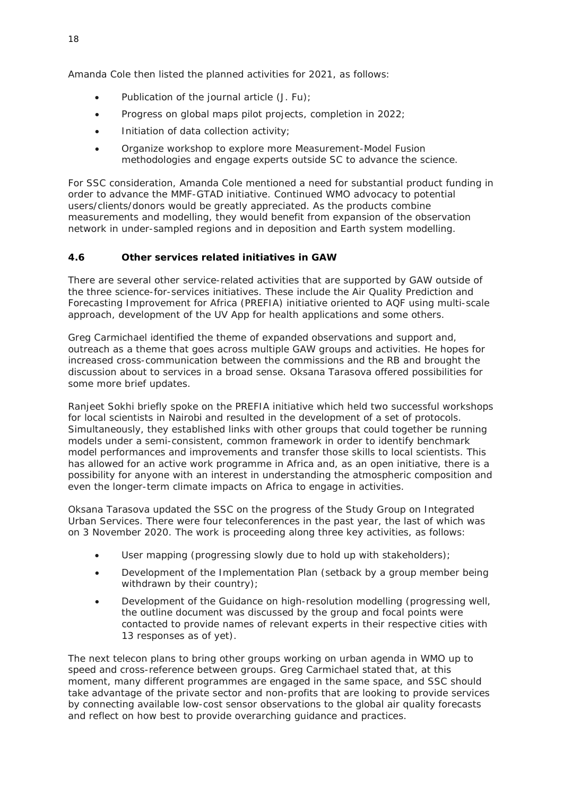Amanda Cole then listed the planned activities for 2021, as follows:

- Publication of the journal article (J. Fu);
- Progress on global maps pilot projects, completion in 2022;
- Initiation of data collection activity;
- Organize workshop to explore more Measurement-Model Fusion methodologies and engage experts outside SC to advance the science.

For SSC consideration, Amanda Cole mentioned a need for substantial product funding in order to advance the MMF-GTAD initiative. Continued WMO advocacy to potential users/clients/donors would be greatly appreciated. As the products combine measurements and modelling, they would benefit from expansion of the observation network in under-sampled regions and in deposition and Earth system modelling.

#### <span id="page-21-0"></span>**4.6 Other services related initiatives in GAW**

There are several other service-related activities that are supported by GAW outside of the three science-for-services initiatives. These include the Air Quality Prediction and Forecasting Improvement for Africa (PREFIA) initiative oriented to AQF using multi-scale approach, development of the UV App for health applications and some others.

Greg Carmichael identified the theme of expanded observations and support and, outreach as a theme that goes across multiple GAW groups and activities. He hopes for increased cross-communication between the commissions and the RB and brought the discussion about to services in a broad sense. Oksana Tarasova offered possibilities for some more brief updates.

Ranjeet Sokhi briefly spoke on the PREFIA initiative which held two successful workshops for local scientists in Nairobi and resulted in the development of a set of protocols. Simultaneously, they established links with other groups that could together be running models under a semi-consistent, common framework in order to identify benchmark model performances and improvements and transfer those skills to local scientists. This has allowed for an active work programme in Africa and, as an open initiative, there is a possibility for anyone with an interest in understanding the atmospheric composition and even the longer-term climate impacts on Africa to engage in activities.

Oksana Tarasova updated the SSC on the progress of the Study Group on Integrated Urban Services. There were four teleconferences in the past year, the last of which was on 3 November 2020. The work is proceeding along three key activities, as follows:

- User mapping (progressing slowly due to hold up with stakeholders);
- Development of the Implementation Plan (setback by a group member being withdrawn by their country);
- Development of the Guidance on high-resolution modelling (progressing well, the outline document was discussed by the group and focal points were contacted to provide names of relevant experts in their respective cities with 13 responses as of yet).

The next telecon plans to bring other groups working on urban agenda in WMO up to speed and cross-reference between groups. Greg Carmichael stated that, at this moment, many different programmes are engaged in the same space, and SSC should take advantage of the private sector and non-profits that are looking to provide services by connecting available low-cost sensor observations to the global air quality forecasts and reflect on how best to provide overarching guidance and practices.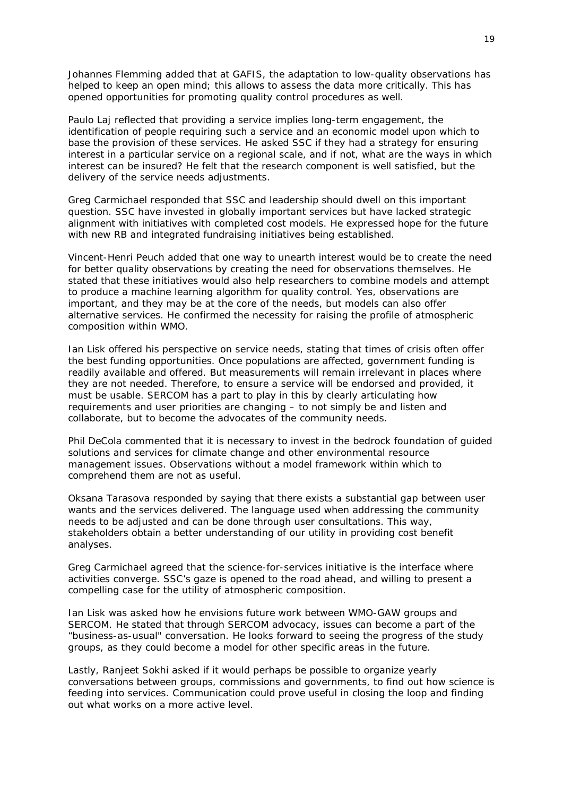Johannes Flemming added that at GAFIS, the adaptation to low-quality observations has helped to keep an open mind; this allows to assess the data more critically. This has opened opportunities for promoting quality control procedures as well.

Paulo Laj reflected that providing a service implies long-term engagement, the identification of people requiring such a service and an economic model upon which to base the provision of these services. He asked SSC if they had a strategy for ensuring interest in a particular service on a regional scale, and if not, what are the ways in which interest can be insured? He felt that the research component is well satisfied, but the delivery of the service needs adjustments.

Greg Carmichael responded that SSC and leadership should dwell on this important question. SSC have invested in globally important services but have lacked strategic alignment with initiatives with completed cost models. He expressed hope for the future with new RB and integrated fundraising initiatives being established.

Vincent-Henri Peuch added that one way to unearth interest would be to create the need for better quality observations by creating the need for observations themselves. He stated that these initiatives would also help researchers to combine models and attempt to produce a machine learning algorithm for quality control. Yes, observations are important, and they may be at the core of the needs, but models can also offer alternative services. He confirmed the necessity for raising the profile of atmospheric composition within WMO.

Ian Lisk offered his perspective on service needs, stating that times of crisis often offer the best funding opportunities. Once populations are affected, government funding is readily available and offered. But measurements will remain irrelevant in places where they are not needed. Therefore, to ensure a service will be endorsed and provided, it must be usable. SERCOM has a part to play in this by clearly articulating how requirements and user priorities are changing – to not simply be and listen and collaborate, but to become the advocates of the community needs.

Phil DeCola commented that it is necessary to invest in the bedrock foundation of guided solutions and services for climate change and other environmental resource management issues. Observations without a model framework within which to comprehend them are not as useful.

Oksana Tarasova responded by saying that there exists a substantial gap between user wants and the services delivered. The language used when addressing the community needs to be adjusted and can be done through user consultations. This way, stakeholders obtain a better understanding of our utility in providing cost benefit analyses.

Greg Carmichael agreed that the science-for-services initiative is the interface where activities converge. SSC's gaze is opened to the road ahead, and willing to present a compelling case for the utility of atmospheric composition.

Ian Lisk was asked how he envisions future work between WMO-GAW groups and SERCOM. He stated that through SERCOM advocacy, issues can become a part of the "business-as-usual" conversation. He looks forward to seeing the progress of the study groups, as they could become a model for other specific areas in the future.

Lastly, Ranjeet Sokhi asked if it would perhaps be possible to organize yearly conversations between groups, commissions and governments, to find out how science is feeding into services. Communication could prove useful in closing the loop and finding out what works on a more active level.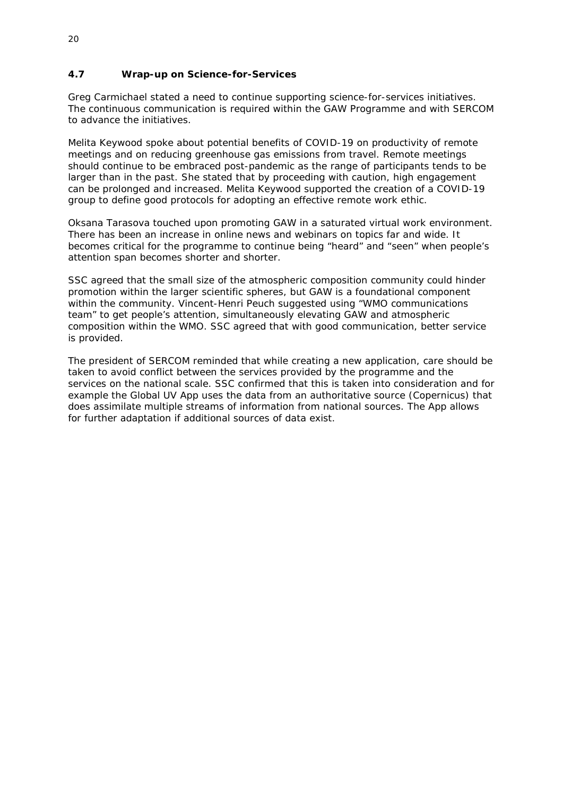#### <span id="page-23-0"></span>**4.7 Wrap-up on Science-for-Services**

Greg Carmichael stated a need to continue supporting science-for-services initiatives. The continuous communication is required within the GAW Programme and with SERCOM to advance the initiatives.

Melita Keywood spoke about potential benefits of COVID-19 on productivity of remote meetings and on reducing greenhouse gas emissions from travel. Remote meetings should continue to be embraced post-pandemic as the range of participants tends to be larger than in the past. She stated that by proceeding with caution, high engagement can be prolonged and increased. Melita Keywood supported the creation of a COVID-19 group to define good protocols for adopting an effective remote work ethic.

Oksana Tarasova touched upon promoting GAW in a saturated virtual work environment. There has been an increase in online news and webinars on topics far and wide. It becomes critical for the programme to continue being "heard" and "seen" when people's attention span becomes shorter and shorter.

SSC agreed that the small size of the atmospheric composition community could hinder promotion within the larger scientific spheres, but GAW is a foundational component within the community. Vincent-Henri Peuch suggested using "WMO communications team" to get people's attention, simultaneously elevating GAW and atmospheric composition within the WMO. SSC agreed that with good communication, better service is provided.

The president of SERCOM reminded that while creating a new application, care should be taken to avoid conflict between the services provided by the programme and the services on the national scale. SSC confirmed that this is taken into consideration and for example the Global UV App uses the data from an authoritative source (Copernicus) that does assimilate multiple streams of information from national sources. The App allows for further adaptation if additional sources of data exist.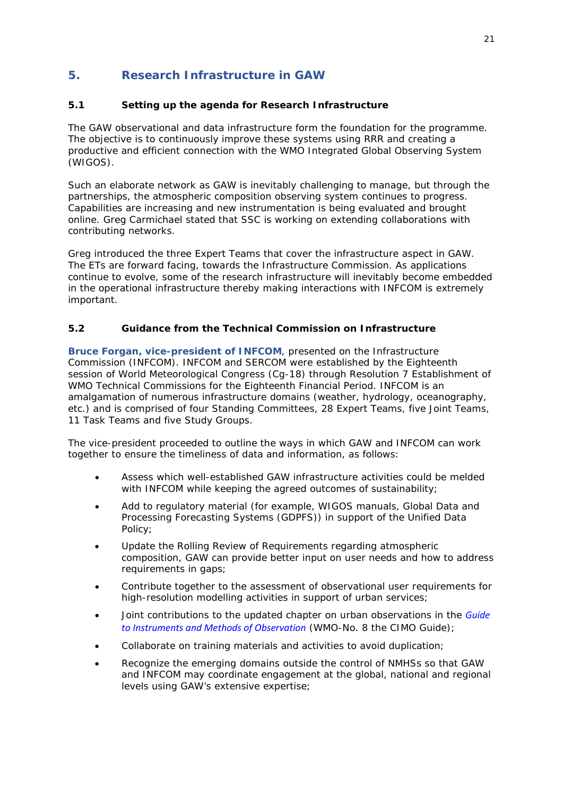# <span id="page-24-0"></span>**5. Research Infrastructure in GAW**

## <span id="page-24-1"></span>**5.1 Setting up the agenda for Research Infrastructure**

The GAW observational and data infrastructure form the foundation for the programme. The objective is to continuously improve these systems using RRR and creating a productive and efficient connection with the WMO Integrated Global Observing System (WIGOS).

Such an elaborate network as GAW is inevitably challenging to manage, but through the partnerships, the atmospheric composition observing system continues to progress. Capabilities are increasing and new instrumentation is being evaluated and brought online. Greg Carmichael stated that SSC is working on extending collaborations with contributing networks.

Greg introduced the three Expert Teams that cover the infrastructure aspect in GAW. The ETs are forward facing, towards the Infrastructure Commission. As applications continue to evolve, some of the research infrastructure will inevitably become embedded in the operational infrastructure thereby making interactions with INFCOM is extremely important.

## <span id="page-24-2"></span>**5.2 Guidance from the Technical Commission on Infrastructure**

**Bruce Forgan, vice-president of INFCOM**, presented on the Infrastructure Commission (INFCOM). INFCOM and SERCOM were established by the Eighteenth session of World Meteorological Congress (Cg-18) through Resolution 7 Establishment of WMO Technical Commissions for the Eighteenth Financial Period. INFCOM is an amalgamation of numerous infrastructure domains (weather, hydrology, oceanography, etc.) and is comprised of four Standing Committees, 28 Expert Teams, five Joint Teams, 11 Task Teams and five Study Groups.

The vice-president proceeded to outline the ways in which GAW and INFCOM can work together to ensure the timeliness of data and information, as follows:

- Assess which well-established GAW infrastructure activities could be melded with INFCOM while keeping the agreed outcomes of sustainability;
- Add to regulatory material (for example, WIGOS manuals, Global Data and Processing Forecasting Systems (GDPFS)) in support of the Unified Data Policy;
- Update the Rolling Review of Requirements regarding atmospheric composition, GAW can provide better input on user needs and how to address requirements in gaps;
- Contribute together to the assessment of observational user requirements for high-resolution modelling activities in support of urban services;
- Joint contributions to the updated chapter on urban observations in the *[Guide](https://library.wmo.int/index.php?lvl=notice_display&id=12407)  [to Instruments and Methods of Observation](https://library.wmo.int/index.php?lvl=notice_display&id=12407)* (WMO-No. 8 the CIMO Guide);
- Collaborate on training materials and activities to avoid duplication;
- Recognize the emerging domains outside the control of NMHSs so that GAW and INFCOM may coordinate engagement at the global, national and regional levels using GAW's extensive expertise;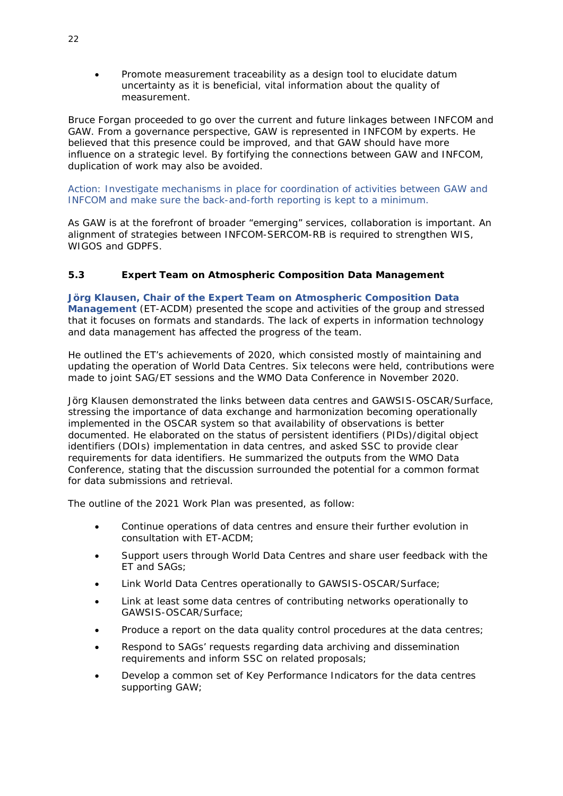• Promote measurement traceability as a design tool to elucidate datum uncertainty as it is beneficial, vital information about the quality of measurement.

Bruce Forgan proceeded to go over the current and future linkages between INFCOM and GAW. From a governance perspective, GAW is represented in INFCOM by experts. He believed that this presence could be improved, and that GAW should have more influence on a strategic level. By fortifying the connections between GAW and INFCOM, duplication of work may also be avoided.

Action: Investigate mechanisms in place for coordination of activities between GAW and INFCOM and make sure the back-and-forth reporting is kept to a minimum.

As GAW is at the forefront of broader "emerging" services, collaboration is important. An alignment of strategies between INFCOM-SERCOM-RB is required to strengthen WIS, WIGOS and GDPFS.

## <span id="page-25-0"></span>**5.3 Expert Team on Atmospheric Composition Data Management**

**Jörg Klausen, Chair of the Expert Team on Atmospheric Composition Data Management** (ET-ACDM) presented the scope and activities of the group and stressed that it focuses on formats and standards. The lack of experts in information technology and data management has affected the progress of the team.

He outlined the ET's achievements of 2020, which consisted mostly of maintaining and updating the operation of World Data Centres. Six telecons were held, contributions were made to joint SAG/ET sessions and the WMO Data Conference in November 2020.

Jörg Klausen demonstrated the links between data centres and GAWSIS-OSCAR/Surface, stressing the importance of data exchange and harmonization becoming operationally implemented in the OSCAR system so that availability of observations is better documented. He elaborated on the status of persistent identifiers (PIDs)/digital object identifiers (DOIs) implementation in data centres, and asked SSC to provide clear requirements for data identifiers. He summarized the outputs from the WMO Data Conference, stating that the discussion surrounded the potential for a common format for data submissions and retrieval.

The outline of the 2021 Work Plan was presented, as follow:

- Continue operations of data centres and ensure their further evolution in consultation with ET-ACDM;
- Support users through World Data Centres and share user feedback with the ET and SAGs;
- Link World Data Centres operationally to GAWSIS-OSCAR/Surface;
- Link at least some data centres of contributing networks operationally to GAWSIS-OSCAR/Surface;
- Produce a report on the data quality control procedures at the data centres;
- Respond to SAGs' requests regarding data archiving and dissemination requirements and inform SSC on related proposals;
- Develop a common set of Key Performance Indicators for the data centres supporting GAW;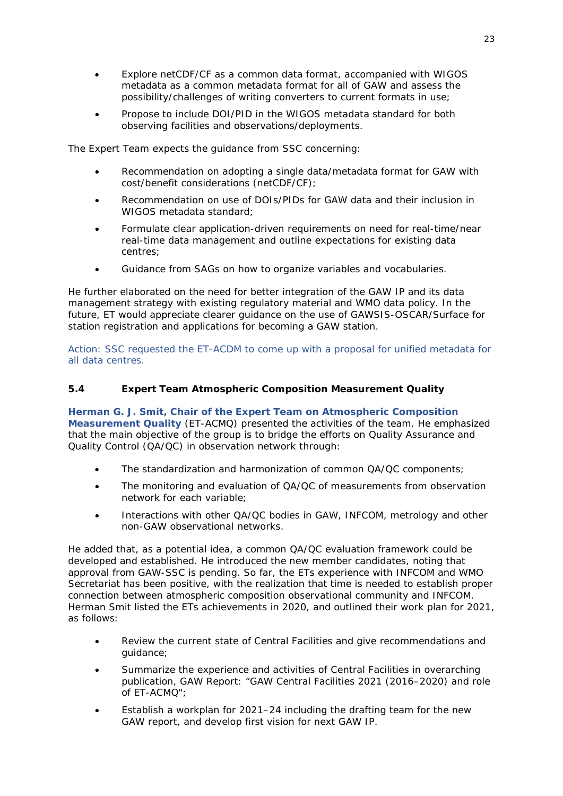- Explore netCDF/CF as a common data format, accompanied with WIGOS metadata as a common metadata format for all of GAW and assess the possibility/challenges of writing converters to current formats in use;
- Propose to include DOI/PID in the WIGOS metadata standard for both observing facilities and observations/deployments.

The Expert Team expects the guidance from SSC concerning:

- Recommendation on adopting a single data/metadata format for GAW with cost/benefit considerations (netCDF/CF);
- Recommendation on use of DOIs/PIDs for GAW data and their inclusion in WIGOS metadata standard;
- Formulate clear application-driven requirements on need for real-time/near real-time data management and outline expectations for existing data centres;
- Guidance from SAGs on how to organize variables and vocabularies.

He further elaborated on the need for better integration of the GAW IP and its data management strategy with existing regulatory material and WMO data policy. In the future, ET would appreciate clearer guidance on the use of GAWSIS-OSCAR/Surface for station registration and applications for becoming a GAW station.

Action: SSC requested the ET-ACDM to come up with a proposal for unified metadata for all data centres.

#### <span id="page-26-0"></span>**5.4 Expert Team Atmospheric Composition Measurement Quality**

**Herman G. J. Smit, Chair of the Expert Team on Atmospheric Composition Measurement Quality** (ET-ACMQ) presented the activities of the team. He emphasized that the main objective of the group is to bridge the efforts on Quality Assurance and Quality Control (QA/QC) in observation network through:

- The standardization and harmonization of common QA/QC components;
- The monitoring and evaluation of QA/QC of measurements from observation network for each variable;
- Interactions with other QA/QC bodies in GAW, INFCOM, metrology and other non-GAW observational networks.

He added that, as a potential idea, a common QA/QC evaluation framework could be developed and established. He introduced the new member candidates, noting that approval from GAW-SSC is pending. So far, the ETs experience with INFCOM and WMO Secretariat has been positive, with the realization that time is needed to establish proper connection between atmospheric composition observational community and INFCOM. Herman Smit listed the ETs achievements in 2020, and outlined their work plan for 2021, as follows:

- Review the current state of Central Facilities and give recommendations and guidance;
- Summarize the experience and activities of Central Facilities in overarching publication, GAW Report: "GAW Central Facilities 2021 (2016–2020) and role of ET-ACMQ";
- Establish a workplan for 2021–24 including the drafting team for the new GAW report, and develop first vision for next GAW IP.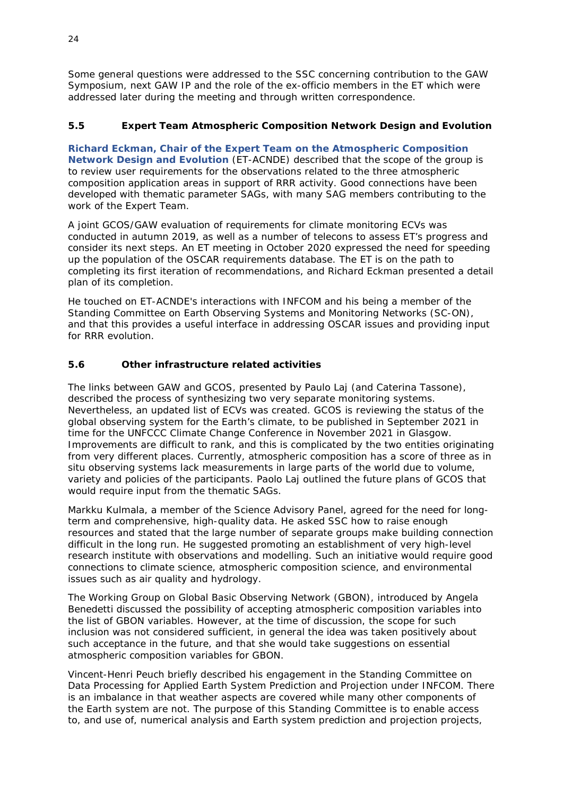Some general questions were addressed to the SSC concerning contribution to the GAW Symposium, next GAW IP and the role of the ex-officio members in the ET which were addressed later during the meeting and through written correspondence.

## <span id="page-27-0"></span>**5.5 Expert Team Atmospheric Composition Network Design and Evolution**

**Richard Eckman, Chair of the Expert Team on the Atmospheric Composition Network Design and Evolution** (ET-ACNDE) described that the scope of the group is to review user requirements for the observations related to the three atmospheric composition application areas in support of RRR activity. Good connections have been developed with thematic parameter SAGs, with many SAG members contributing to the work of the Expert Team.

A joint GCOS/GAW evaluation of requirements for climate monitoring ECVs was conducted in autumn 2019, as well as a number of telecons to assess ET's progress and consider its next steps. An ET meeting in October 2020 expressed the need for speeding up the population of the OSCAR requirements database. The ET is on the path to completing its first iteration of recommendations, and Richard Eckman presented a detail plan of its completion.

He touched on ET-ACNDE's interactions with INFCOM and his being a member of the Standing Committee on Earth Observing Systems and Monitoring Networks (SC-ON), and that this provides a useful interface in addressing OSCAR issues and providing input for RRR evolution.

# <span id="page-27-1"></span>**5.6 Other infrastructure related activities**

The links between GAW and GCOS, presented by Paulo Laj (and Caterina Tassone), described the process of synthesizing two very separate monitoring systems. Nevertheless, an updated list of ECVs was created. GCOS is reviewing the status of the global observing system for the Earth's climate, to be published in September 2021 in time for the UNFCCC Climate Change Conference in November 2021 in Glasgow. Improvements are difficult to rank, and this is complicated by the two entities originating from very different places. Currently, atmospheric composition has a score of three as in situ observing systems lack measurements in large parts of the world due to volume, variety and policies of the participants. Paolo Laj outlined the future plans of GCOS that would require input from the thematic SAGs.

Markku Kulmala, a member of the Science Advisory Panel, agreed for the need for longterm and comprehensive, high-quality data. He asked SSC how to raise enough resources and stated that the large number of separate groups make building connection difficult in the long run. He suggested promoting an establishment of very high-level research institute with observations and modelling. Such an initiative would require good connections to climate science, atmospheric composition science, and environmental issues such as air quality and hydrology.

The Working Group on Global Basic Observing Network (GBON), introduced by Angela Benedetti discussed the possibility of accepting atmospheric composition variables into the list of GBON variables. However, at the time of discussion, the scope for such inclusion was not considered sufficient, in general the idea was taken positively about such acceptance in the future, and that she would take suggestions on essential atmospheric composition variables for GBON.

Vincent-Henri Peuch briefly described his engagement in the Standing Committee on Data Processing for Applied Earth System Prediction and Projection under INFCOM. There is an imbalance in that weather aspects are covered while many other components of the Earth system are not. The purpose of this Standing Committee is to enable access to, and use of, numerical analysis and Earth system prediction and projection projects,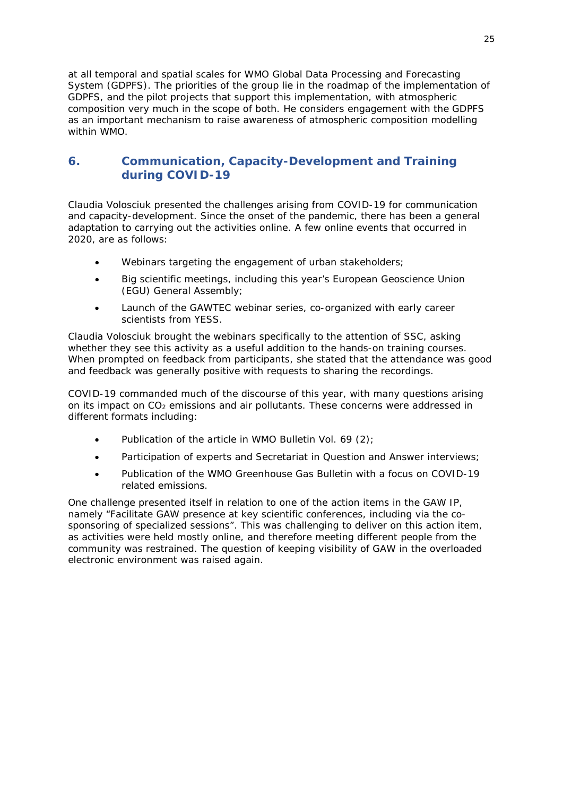at all temporal and spatial scales for WMO Global Data Processing and Forecasting System (GDPFS). The priorities of the group lie in the roadmap of the implementation of GDPFS, and the pilot projects that support this implementation, with atmospheric composition very much in the scope of both. He considers engagement with the GDPFS as an important mechanism to raise awareness of atmospheric composition modelling within WMO.

# <span id="page-28-0"></span>**6. Communication, Capacity-Development and Training during COVID-19**

Claudia Volosciuk presented the challenges arising from COVID-19 for communication and capacity-development. Since the onset of the pandemic, there has been a general adaptation to carrying out the activities online. A few online events that occurred in 2020, are as follows:

- Webinars targeting the engagement of urban stakeholders;
- Big scientific meetings, including this year's European Geoscience Union (EGU) General Assembly;
- Launch of the GAWTEC webinar series, co-organized with early career scientists from YESS.

Claudia Volosciuk brought the webinars specifically to the attention of SSC, asking whether they see this activity as a useful addition to the hands-on training courses. When prompted on feedback from participants, she stated that the attendance was good and feedback was generally positive with requests to sharing the recordings.

COVID-19 commanded much of the discourse of this year, with many questions arising on its impact on CO<sub>2</sub> emissions and air pollutants. These concerns were addressed in different formats including:

- Publication of the article in WMO Bulletin Vol. 69 (2);
- Participation of experts and Secretariat in Question and Answer interviews;
- Publication of the WMO Greenhouse Gas Bulletin with a focus on COVID-19 related emissions.

One challenge presented itself in relation to one of the action items in the GAW IP, namely "Facilitate GAW presence at key scientific conferences, including via the cosponsoring of specialized sessions". This was challenging to deliver on this action item, as activities were held mostly online, and therefore meeting different people from the community was restrained. The question of keeping visibility of GAW in the overloaded electronic environment was raised again.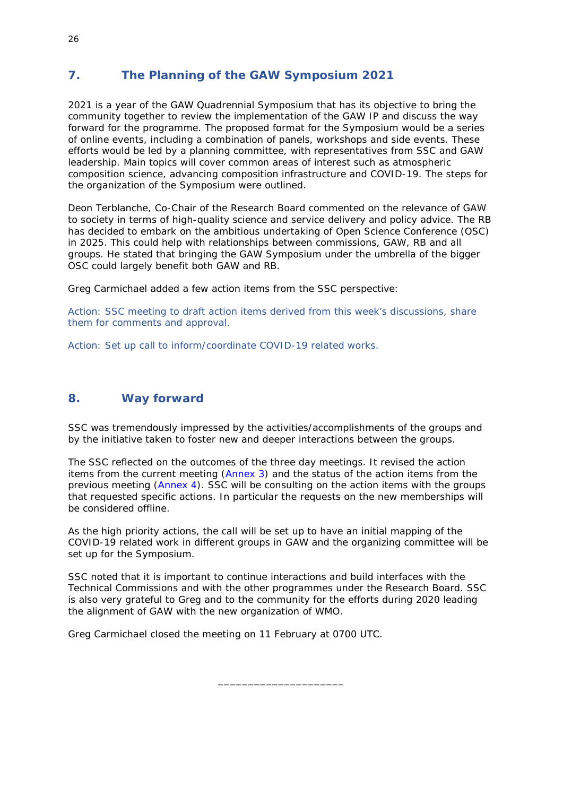# <span id="page-29-0"></span>**7. The Planning of the GAW Symposium 2021**

2021 is a year of the GAW Quadrennial Symposium that has its objective to bring the community together to review the implementation of the GAW IP and discuss the way forward for the programme. The proposed format for the Symposium would be a series of online events, including a combination of panels, workshops and side events. These efforts would be led by a planning committee, with representatives from SSC and GAW leadership. Main topics will cover common areas of interest such as atmospheric composition science, advancing composition infrastructure and COVID-19. The steps for the organization of the Symposium were outlined.

Deon Terblanche, Co-Chair of the Research Board commented on the relevance of GAW to society in terms of high-quality science and service delivery and policy advice. The RB has decided to embark on the ambitious undertaking of Open Science Conference (OSC) in 2025. This could help with relationships between commissions, GAW, RB and all groups. He stated that bringing the GAW Symposium under the umbrella of the bigger OSC could largely benefit both GAW and RB.

Greg Carmichael added a few action items from the SSC perspective:

Action: SSC meeting to draft action items derived from this week's discussions, share them for comments and approval.

Action: Set up call to inform/coordinate COVID-19 related works.

# <span id="page-29-1"></span>**8. Way forward**

SSC was tremendously impressed by the activities/accomplishments of the groups and by the initiative taken to foster new and deeper interactions between the groups.

The SSC reflected on the outcomes of the three day meetings. It revised the action items from the current meeting [\(Annex 3\)](#page-35-2) and the status of the action items from the previous meeting [\(Annex 4\)](#page-39-2). SSC will be consulting on the action items with the groups that requested specific actions. In particular the requests on the new memberships will be considered offline.

As the high priority actions, the call will be set up to have an initial mapping of the COVID-19 related work in different groups in GAW and the organizing committee will be set up for the Symposium.

SSC noted that it is important to continue interactions and build interfaces with the Technical Commissions and with the other programmes under the Research Board. SSC is also very grateful to Greg and to the community for the efforts during 2020 leading the alignment of GAW with the new organization of WMO.

\_\_\_\_\_\_\_\_\_\_\_\_\_\_\_\_\_\_\_\_\_

Greg Carmichael closed the meeting on 11 February at 0700 UTC.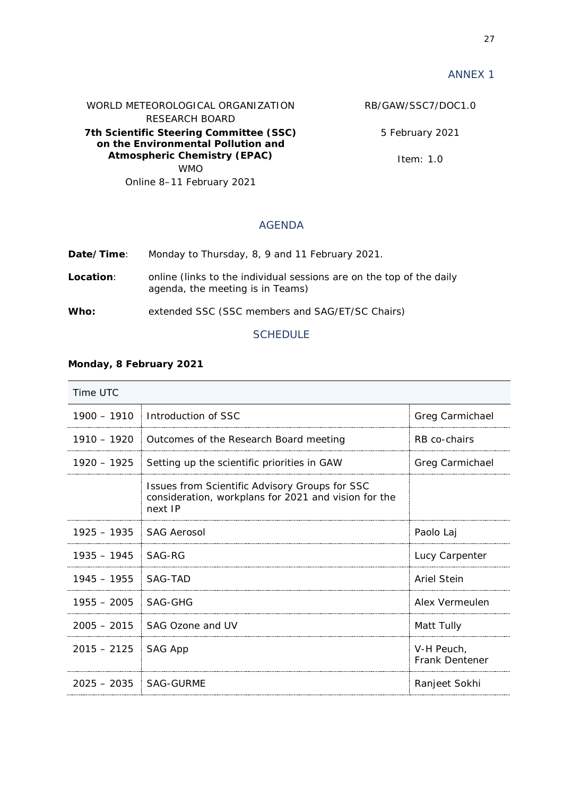<span id="page-30-3"></span><span id="page-30-0"></span>WORLD METEOROLOGICAL ORGANIZATION RESEARCH BOARD **7th Scientific Steering Committee (SSC) on the Environmental Pollution and Atmospheric Chemistry (EPAC)**  WMO Online 8–11 February 2021

RB/GAW/SSC7/DOC1.0

5 February 2021

Item: 1.0

# AGENDA

<span id="page-30-1"></span>

| Date/Time:       | Monday to Thursday, 8, 9 and 11 February 2021.                                                           |
|------------------|----------------------------------------------------------------------------------------------------------|
| <b>Location:</b> | online (links to the individual sessions are on the top of the daily<br>agenda, the meeting is in Teams) |
| Who:             | extended SSC (SSC members and SAG/ET/SC Chairs)                                                          |
|                  | <b>SCHEDULE</b>                                                                                          |

#### <span id="page-30-2"></span>**Monday, 8 February 2021**

| Time UTC                |                                                                                                                   |                                     |  |  |  |  |  |
|-------------------------|-------------------------------------------------------------------------------------------------------------------|-------------------------------------|--|--|--|--|--|
| $1900 - 1910$           | Introduction of SSC                                                                                               | Greg Carmichael                     |  |  |  |  |  |
| $1910 - 1920$           | Outcomes of the Research Board meeting                                                                            | RB co-chairs                        |  |  |  |  |  |
| $1920 - 1925$           | Setting up the scientific priorities in GAW                                                                       | Greg Carmichael                     |  |  |  |  |  |
|                         | Issues from Scientific Advisory Groups for SSC<br>consideration, workplans for 2021 and vision for the<br>next IP |                                     |  |  |  |  |  |
| $1925 - 1935$           | <b>SAG Aerosol</b>                                                                                                | Paolo Laj                           |  |  |  |  |  |
| $1935 - 1945$           | SAG-RG                                                                                                            | Lucy Carpenter                      |  |  |  |  |  |
| $1945 - 1955$           | SAG-TAD                                                                                                           | <b>Ariel Stein</b>                  |  |  |  |  |  |
| $1955 - 2005$           | SAG-GHG                                                                                                           | Alex Vermeulen                      |  |  |  |  |  |
| $2005 - 2015$           | SAG Ozone and UV                                                                                                  | Matt Tully                          |  |  |  |  |  |
| $2015 - 2125$           | SAG App                                                                                                           | V-H Peuch,<br><b>Frank Dentener</b> |  |  |  |  |  |
| 2025 - 2035   SAG-GURME |                                                                                                                   | Ranjeet Sokhi                       |  |  |  |  |  |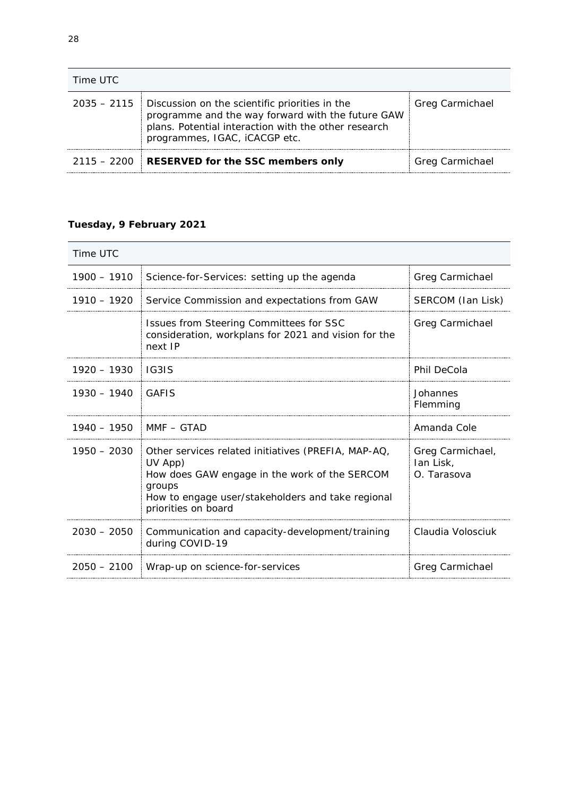| Time UTC |                                                                                                                                                                                                            |                        |  |  |  |  |  |
|----------|------------------------------------------------------------------------------------------------------------------------------------------------------------------------------------------------------------|------------------------|--|--|--|--|--|
|          | $2035 - 2115$ Discussion on the scientific priorities in the<br>programme and the way forward with the future GAW<br>plans. Potential interaction with the other research<br>programmes, IGAC, iCACGP etc. | <b>Greg Carmichael</b> |  |  |  |  |  |
|          | 2115 - 2200 RESERVED for the SSC members only                                                                                                                                                              | Greg Carmichael        |  |  |  |  |  |

# **Tuesday, 9 February 2021**

| Time UTC      |                                                                                                                                                                                                       |                                              |  |  |  |  |  |
|---------------|-------------------------------------------------------------------------------------------------------------------------------------------------------------------------------------------------------|----------------------------------------------|--|--|--|--|--|
| $1900 - 1910$ | Science-for-Services: setting up the agenda                                                                                                                                                           | Greg Carmichael                              |  |  |  |  |  |
| $1910 - 1920$ | Service Commission and expectations from GAW                                                                                                                                                          | SERCOM (Ian Lisk)                            |  |  |  |  |  |
|               | Issues from Steering Committees for SSC<br>consideration, workplans for 2021 and vision for the<br>next IP                                                                                            | Greg Carmichael                              |  |  |  |  |  |
| $1920 - 1930$ | IG3IS                                                                                                                                                                                                 | Phil DeCola                                  |  |  |  |  |  |
| $1930 - 1940$ | GAFIS                                                                                                                                                                                                 | Johannes<br>Flemming                         |  |  |  |  |  |
| 1940 – 1950   | $MMF - GTAD$                                                                                                                                                                                          | Amanda Cole                                  |  |  |  |  |  |
| $1950 - 2030$ | Other services related initiatives (PREFIA, MAP-AQ,<br>UV App)<br>How does GAW engage in the work of the SERCOM<br>groups<br>How to engage user/stakeholders and take regional<br>priorities on board | Greg Carmichael,<br>lan Lisk,<br>O. Tarasova |  |  |  |  |  |
| $2030 - 2050$ | Communication and capacity-development/training<br>during COVID-19                                                                                                                                    | Claudia Volosciuk                            |  |  |  |  |  |
| $2050 - 2100$ | Wrap-up on science-for-services                                                                                                                                                                       | Greg Carmichael                              |  |  |  |  |  |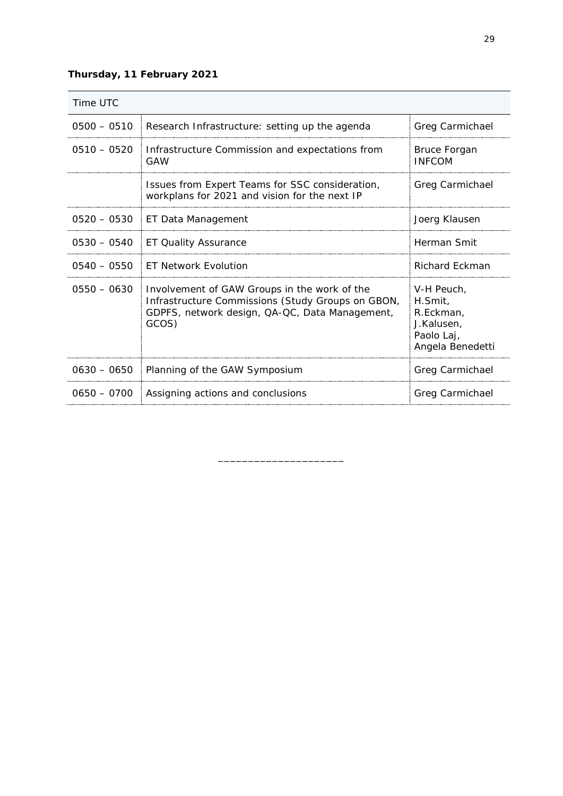# **Thursday, 11 February 2021**

| Time UTC      |                                                                                                                                                              |                                                                                    |  |  |  |  |  |
|---------------|--------------------------------------------------------------------------------------------------------------------------------------------------------------|------------------------------------------------------------------------------------|--|--|--|--|--|
| $0500 - 0510$ | Research Infrastructure: setting up the agenda                                                                                                               | Greg Carmichael                                                                    |  |  |  |  |  |
| $0510 - 0520$ | Infrastructure Commission and expectations from<br>GAW                                                                                                       | <b>Bruce Forgan</b><br><b>INFCOM</b>                                               |  |  |  |  |  |
|               | Issues from Expert Teams for SSC consideration,<br>workplans for 2021 and vision for the next IP                                                             | Greg Carmichael                                                                    |  |  |  |  |  |
| $0520 - 0530$ | ET Data Management                                                                                                                                           | Joerg Klausen                                                                      |  |  |  |  |  |
| $0530 - 0540$ | <b>ET Quality Assurance</b>                                                                                                                                  | Herman Smit                                                                        |  |  |  |  |  |
| $0540 - 0550$ | <b>ET Network Evolution</b>                                                                                                                                  | <b>Richard Eckman</b>                                                              |  |  |  |  |  |
| $0550 - 0630$ | Involvement of GAW Groups in the work of the<br>Infrastructure Commissions (Study Groups on GBON,<br>GDPFS, network design, QA-QC, Data Management,<br>GCOS) | V-H Peuch.<br>H.Smit,<br>R.Eckman,<br>J.Kalusen,<br>Paolo Laj,<br>Angela Benedetti |  |  |  |  |  |
| $0630 - 0650$ | Planning of the GAW Symposium                                                                                                                                | Greg Carmichael                                                                    |  |  |  |  |  |
| $0650 - 0700$ | Assigning actions and conclusions                                                                                                                            | Greg Carmichael                                                                    |  |  |  |  |  |

\_\_\_\_\_\_\_\_\_\_\_\_\_\_\_\_\_\_\_\_\_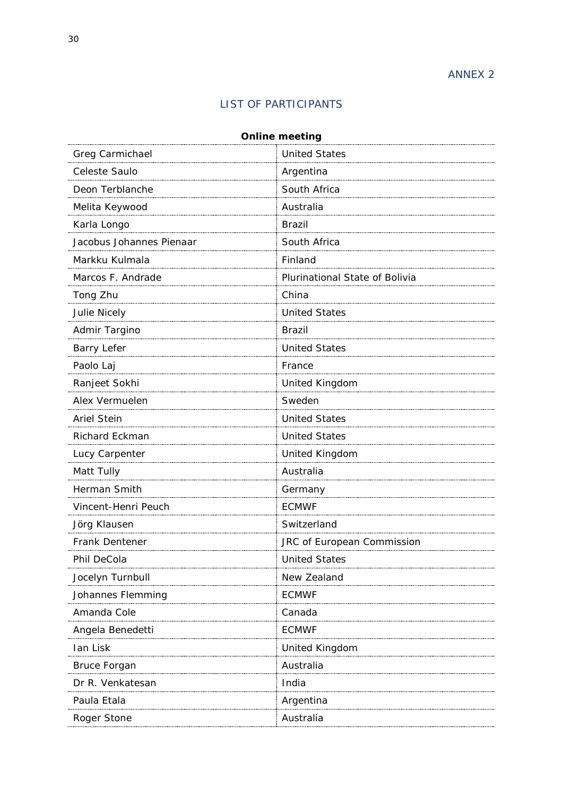# LIST OF PARTICIPANTS

<span id="page-33-2"></span><span id="page-33-1"></span><span id="page-33-0"></span>

| <b>Online meeting</b>    |                                |  |  |  |  |
|--------------------------|--------------------------------|--|--|--|--|
| Greg Carmichael          | <b>United States</b>           |  |  |  |  |
| Celeste Saulo            | Argentina                      |  |  |  |  |
| Deon Terblanche          | South Africa                   |  |  |  |  |
| Melita Keywood           | Australia                      |  |  |  |  |
| Karla Longo              | <b>Brazil</b>                  |  |  |  |  |
| Jacobus Johannes Pienaar | South Africa                   |  |  |  |  |
| Markku Kulmala           | Finland                        |  |  |  |  |
| Marcos F. Andrade        | Plurinational State of Bolivia |  |  |  |  |
| Tong Zhu                 | China                          |  |  |  |  |
| Julie Nicely             | <b>United States</b>           |  |  |  |  |
| Admir Targino            | <b>Brazil</b>                  |  |  |  |  |
| <b>Barry Lefer</b>       | <b>United States</b>           |  |  |  |  |
| Paolo Laj                | France                         |  |  |  |  |
| Ranjeet Sokhi            | <b>United Kingdom</b>          |  |  |  |  |
| Alex Vermuelen           | Sweden                         |  |  |  |  |
| <b>Ariel Stein</b>       | <b>United States</b>           |  |  |  |  |
| Richard Eckman           | <b>United States</b>           |  |  |  |  |
| Lucy Carpenter           | United Kingdom                 |  |  |  |  |
| Matt Tully               | Australia                      |  |  |  |  |
| Herman Smith             | Germany                        |  |  |  |  |
| Vincent-Henri Peuch      | <b>ECMWF</b>                   |  |  |  |  |
| Jörg Klausen             | Switzerland                    |  |  |  |  |
| Frank Dentener           | JRC of European Commission     |  |  |  |  |
| Phil DeCola              | <b>United States</b>           |  |  |  |  |
| Jocelyn Turnbull         | New Zealand                    |  |  |  |  |
| Johannes Flemming        | <b>ECMWF</b>                   |  |  |  |  |
| Amanda Cole              | Canada                         |  |  |  |  |
| Angela Benedetti         | <b>ECMWF</b>                   |  |  |  |  |
| Ian Lisk                 | United Kingdom                 |  |  |  |  |
| <b>Bruce Forgan</b>      | Australia                      |  |  |  |  |
| Dr R. Venkatesan         | India                          |  |  |  |  |
| Paula Etala              | Argentina                      |  |  |  |  |
| Roger Stone              | Australia                      |  |  |  |  |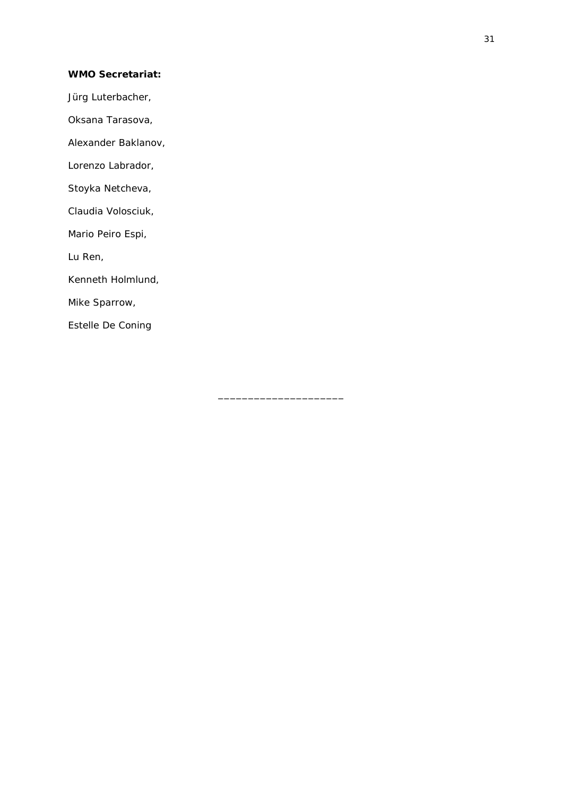#### **WMO Secretariat:**

Jürg Luterbacher,

Oksana Tarasova,

Alexander Baklanov,

Lorenzo Labrador,

Stoyka Netcheva,

Claudia Volosciuk,

Mario Peiro Espi,

Lu Ren,

Kenneth Holmlund,

Mike Sparrow,

Estelle De Coning

\_\_\_\_\_\_\_\_\_\_\_\_\_\_\_\_\_\_\_\_\_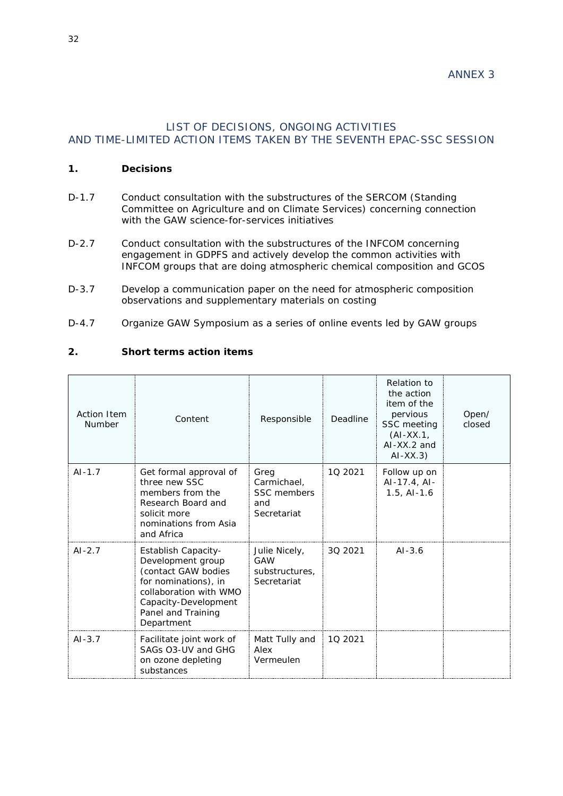# <span id="page-35-2"></span><span id="page-35-1"></span><span id="page-35-0"></span>LIST OF DECISIONS, ONGOING ACTIVITIES AND TIME-LIMITED ACTION ITEMS TAKEN BY THE SEVENTH EPAC-SSC SESSION

#### **1. Decisions**

- D-1.7 Conduct consultation with the substructures of the SERCOM (Standing Committee on Agriculture and on Climate Services) concerning connection with the GAW science-for-services initiatives
- D-2.7 Conduct consultation with the substructures of the INFCOM concerning engagement in GDPFS and actively develop the common activities with INFCOM groups that are doing atmospheric chemical composition and GCOS
- D-3.7 Develop a communication paper on the need for atmospheric composition observations and supplementary materials on costing
- D-4.7 Organize GAW Symposium as a series of online events led by GAW groups

# **2. Short terms action items**

| <b>Action Item</b><br><b>Number</b> | Content                                                                                                                                                                       | Responsible                                              | Deadline | Relation to<br>the action<br>item of the<br>pervious<br>SSC meeting<br>$(AI-XX.1)$<br>$AI$ -XX.2 and<br>$AI-XX.3)$ | Open/<br>closed |
|-------------------------------------|-------------------------------------------------------------------------------------------------------------------------------------------------------------------------------|----------------------------------------------------------|----------|--------------------------------------------------------------------------------------------------------------------|-----------------|
| $AI-1.7$                            | Get formal approval of<br>three new SSC<br>members from the<br>Research Board and<br>solicit more<br>nominations from Asia<br>and Africa                                      | Greg<br>Carmichael,<br>SSC members<br>and<br>Secretariat | 10 2021  | Follow up on<br>$AI-17.4, AI-$<br>$1.5,$ Al- $1.6$                                                                 |                 |
| $AI-2.7$                            | Establish Capacity-<br>Development group<br>(contact GAW bodies<br>for nominations), in<br>collaboration with WMO<br>Capacity-Development<br>Panel and Training<br>Department | Julie Nicely,<br>GAW<br>substructures,<br>Secretariat    | 3Q 2021  | $AI - 3.6$                                                                                                         |                 |
| $AI-3.7$                            | Facilitate joint work of<br>SAGs O3-UV and GHG<br>on ozone depleting<br>substances                                                                                            | Matt Tully and<br>Alex<br>Vermeulen                      | 10 2021  |                                                                                                                    |                 |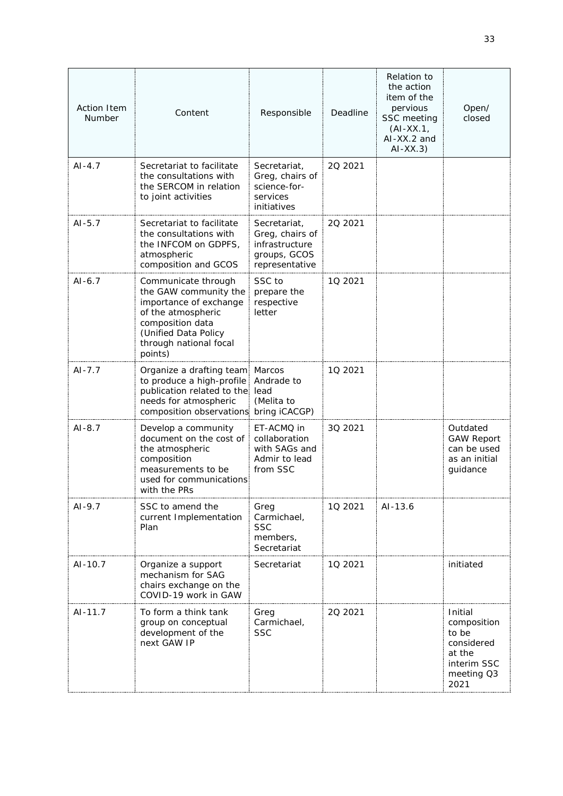| <b>Action Item</b><br>Number | Content                                                                                                                                                                       | Responsible                                                                         | Deadline | Relation to<br>the action<br>item of the<br>pervious<br>SSC meeting<br>$(AI-XX.1,$<br>$AI$ -XX.2 and<br>$AI-XX.3)$ | Open/<br>closed                                                                              |
|------------------------------|-------------------------------------------------------------------------------------------------------------------------------------------------------------------------------|-------------------------------------------------------------------------------------|----------|--------------------------------------------------------------------------------------------------------------------|----------------------------------------------------------------------------------------------|
| $AI-4.7$                     | Secretariat to facilitate<br>the consultations with<br>the SERCOM in relation<br>to joint activities                                                                          | Secretariat,<br>Greg, chairs of<br>science-for-<br>services<br>initiatives          | 20 20 21 |                                                                                                                    |                                                                                              |
| $AI-5.7$                     | Secretariat to facilitate<br>the consultations with<br>the INFCOM on GDPFS,<br>atmospheric<br>composition and GCOS                                                            | Secretariat,<br>Greg, chairs of<br>infrastructure<br>groups, GCOS<br>representative | 20 20 21 |                                                                                                                    |                                                                                              |
| $AI-6.7$                     | Communicate through<br>the GAW community the<br>importance of exchange<br>of the atmospheric<br>composition data<br>(Unified Data Policy<br>through national focal<br>points) | SSC to<br>prepare the<br>respective<br>letter                                       | 10 2021  |                                                                                                                    |                                                                                              |
| $AI - 7.7$                   | Organize a drafting team<br>to produce a high-profile<br>publication related to the<br>needs for atmospheric<br>composition observations                                      | Marcos<br>Andrade to<br>lead<br>(Melita to<br>bring iCACGP)                         | 10 2021  |                                                                                                                    |                                                                                              |
| $AI-8.7$                     | Develop a community<br>document on the cost of<br>the atmospheric<br>composition<br>measurements to be<br>used for communications<br>with the PRs                             | ET-ACMQ in<br>collaboration<br>with SAGs and<br>Admir to lead<br>from SSC           | 30 2021  |                                                                                                                    | Outdated<br><b>GAW Report</b><br>can be used<br>as an initial<br>guidance                    |
| $AI-9.7$                     | SSC to amend the<br>current Implementation<br>Plan                                                                                                                            | Greg<br>Carmichael,<br><b>SSC</b><br>members,<br>Secretariat                        | 10 2021  | $AI-13.6$                                                                                                          |                                                                                              |
| AI-10.7                      | Organize a support<br>mechanism for SAG<br>chairs exchange on the<br>COVID-19 work in GAW                                                                                     | Secretariat                                                                         | 1Q 2021  |                                                                                                                    | initiated                                                                                    |
| $AI-11.7$                    | To form a think tank<br>group on conceptual<br>development of the<br>next GAW IP                                                                                              | Greg<br>Carmichael,<br><b>SSC</b>                                                   | 20 20 21 |                                                                                                                    | Initial<br>composition<br>to be<br>considered<br>at the<br>interim SSC<br>meeting Q3<br>2021 |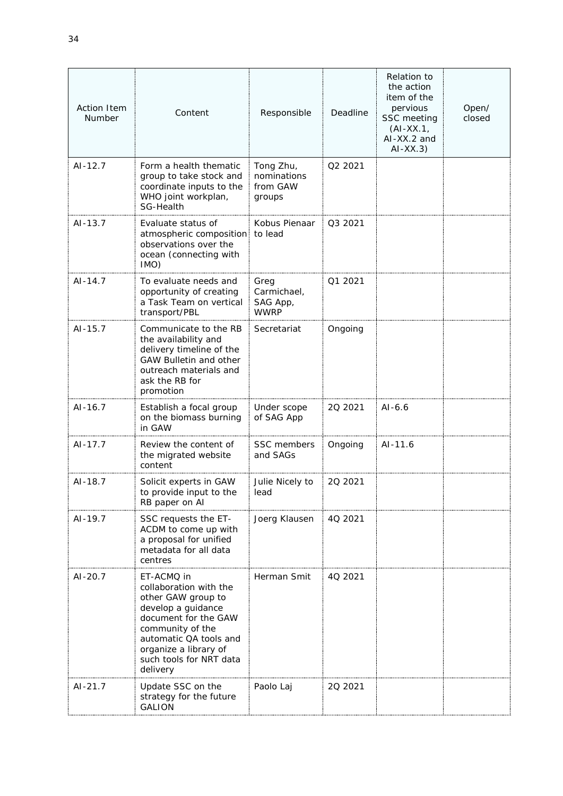| <b>Action Item</b><br>Number | Content                                                                                                                                                                                                                | Responsible                                    | Deadline | <b>Relation to</b><br>the action<br>item of the<br>pervious<br>SSC meeting<br>$(AI-XX.1,$<br>AI-XX.2 and<br>$AI-XX.3)$ | Open/<br>closed |
|------------------------------|------------------------------------------------------------------------------------------------------------------------------------------------------------------------------------------------------------------------|------------------------------------------------|----------|------------------------------------------------------------------------------------------------------------------------|-----------------|
| $AI-12.7$                    | Form a health thematic<br>group to take stock and<br>coordinate inputs to the<br>WHO joint workplan,<br>SG-Health                                                                                                      | Tong Zhu,<br>nominations<br>from GAW<br>groups | Q2 2021  |                                                                                                                        |                 |
| AI-13.7                      | Evaluate status of<br>atmospheric composition<br>observations over the<br>ocean (connecting with<br>IMO)                                                                                                               | Kobus Pienaar<br>to lead                       | Q3 2021  |                                                                                                                        |                 |
| $AI-14.7$                    | To evaluate needs and<br>opportunity of creating<br>a Task Team on vertical<br>transport/PBL                                                                                                                           | Greg<br>Carmichael,<br>SAG App,<br><b>WWRP</b> | Q1 2021  |                                                                                                                        |                 |
| $AI - 15.7$                  | Communicate to the RB<br>the availability and<br>delivery timeline of the<br><b>GAW Bulletin and other</b><br>outreach materials and<br>ask the RB for<br>promotion                                                    | Secretariat                                    | Ongoing  |                                                                                                                        |                 |
| $AI-16.7$                    | Establish a focal group<br>on the biomass burning<br>in GAW                                                                                                                                                            | Under scope<br>of SAG App                      | 20 20 21 | $AI-6.6$                                                                                                               |                 |
| $AI-17.7$                    | Review the content of<br>the migrated website<br>content                                                                                                                                                               | SSC members<br>and SAGs                        | Ongoing  | AI-11.6                                                                                                                |                 |
| AI-18.7                      | Solicit experts in GAW<br>to provide input to the<br>RB paper on AI                                                                                                                                                    | Julie Nicely to<br>lead                        | 20 20 21 |                                                                                                                        |                 |
| $AI-19.7$                    | SSC requests the ET-<br>ACDM to come up with<br>a proposal for unified<br>metadata for all data<br>centres                                                                                                             | Joerg Klausen                                  | 4Q 2021  |                                                                                                                        |                 |
| $AI-20.7$                    | ET-ACMQ in<br>collaboration with the<br>other GAW group to<br>develop a guidance<br>document for the GAW<br>community of the<br>automatic QA tools and<br>organize a library of<br>such tools for NRT data<br>delivery | Herman Smit                                    | 4Q 2021  |                                                                                                                        |                 |
| $AI-21.7$                    | Update SSC on the<br>strategy for the future<br><b>GALION</b>                                                                                                                                                          | Paolo Laj                                      | 20 20 21 |                                                                                                                        |                 |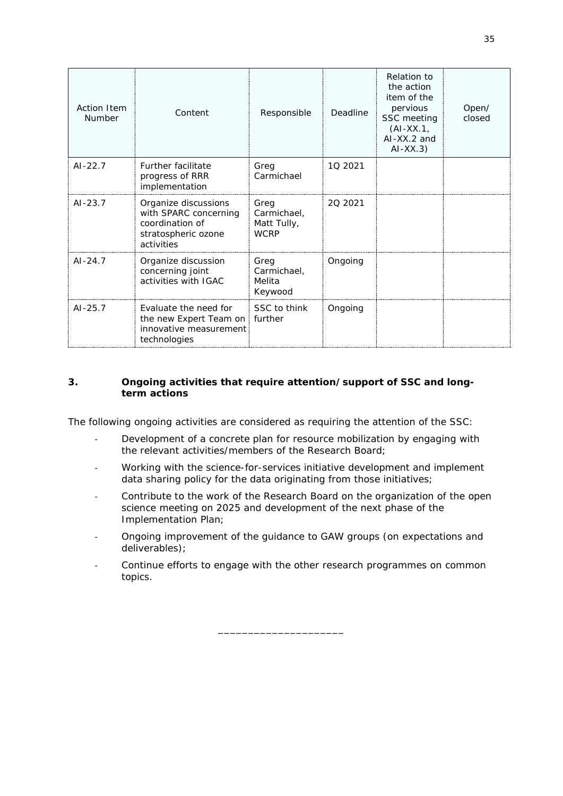| <b>Action Item</b><br><b>Number</b> | Content                                                                                               | Responsible                                       | Deadline | Relation to<br>the action<br>item of the<br>pervious<br>SSC meeting<br>$(AI-XX.1,$<br>$AI$ -XX.2 and<br>$AI-XX.3)$ | Open/<br>closed |
|-------------------------------------|-------------------------------------------------------------------------------------------------------|---------------------------------------------------|----------|--------------------------------------------------------------------------------------------------------------------|-----------------|
| $AI-22.7$                           | <b>Further facilitate</b><br>progress of RRR<br>implementation                                        | Greg<br>Carmichael                                | 10 2021  |                                                                                                                    |                 |
| $AI - 23.7$                         | Organize discussions<br>with SPARC concerning<br>coordination of<br>stratospheric ozone<br>activities | Greg<br>Carmichael,<br>Matt Tully,<br><b>WCRP</b> | 20 20 21 |                                                                                                                    |                 |
| $AI - 24.7$                         | Organize discussion<br>concerning joint<br>activities with IGAC                                       | Greg<br>Carmichael,<br>Melita<br>Keywood          | Ongoing  |                                                                                                                    |                 |
| $AI - 25.7$                         | Evaluate the need for<br>the new Expert Team on<br>innovative measurement<br>technologies             | SSC to think<br>further                           | Ongoing  |                                                                                                                    |                 |

#### **3. Ongoing activities that require attention/support of SSC and longterm actions**

The following ongoing activities are considered as requiring the attention of the SSC:

- Development of a concrete plan for resource mobilization by engaging with the relevant activities/members of the Research Board;
- Working with the science-for-services initiative development and implement data sharing policy for the data originating from those initiatives;
- Contribute to the work of the Research Board on the organization of the open science meeting on 2025 and development of the next phase of the Implementation Plan;
- Ongoing improvement of the guidance to GAW groups (on expectations and deliverables);
- Continue efforts to engage with the other research programmes on common topics.

\_\_\_\_\_\_\_\_\_\_\_\_\_\_\_\_\_\_\_\_\_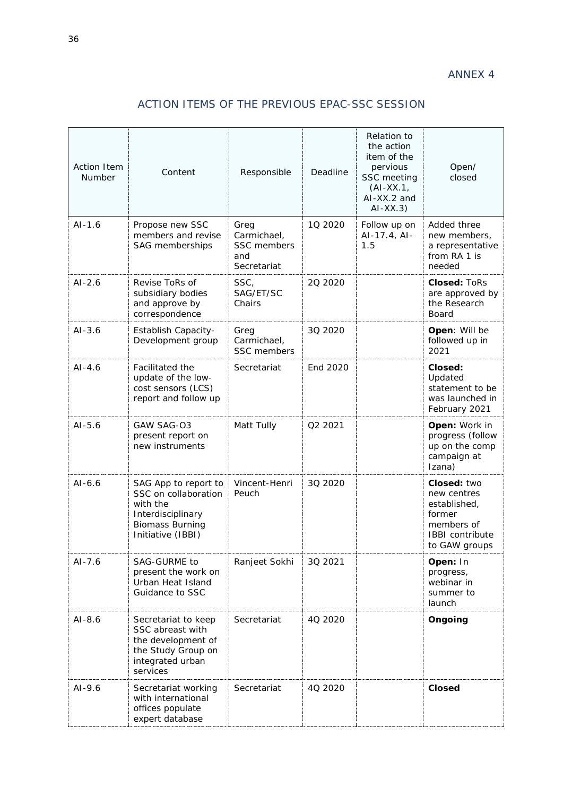# ACTION ITEMS OF THE PREVIOUS EPAC-SSC SESSION

<span id="page-39-2"></span><span id="page-39-1"></span><span id="page-39-0"></span>

| <b>Action Item</b><br>Number | Content                                                                                                                      | Responsible                                              | Deadline | Relation to<br>the action<br>item of the<br>pervious<br>SSC meeting<br>$(AI-XX.1)$<br>AI-XX.2 and<br>$AI-XX.3)$ | Open/<br>closed                                                                                               |
|------------------------------|------------------------------------------------------------------------------------------------------------------------------|----------------------------------------------------------|----------|-----------------------------------------------------------------------------------------------------------------|---------------------------------------------------------------------------------------------------------------|
| $AI-1.6$                     | Propose new SSC<br>members and revise<br>SAG memberships                                                                     | Greg<br>Carmichael,<br>SSC members<br>and<br>Secretariat | 10 2020  | Follow up on<br>AI-17.4, AI-<br>1.5                                                                             | Added three<br>new members,<br>a representative<br>from RA 1 is<br>needed                                     |
| $AI-2.6$                     | Revise ToRs of<br>subsidiary bodies<br>and approve by<br>correspondence                                                      | SSC,<br>SAG/ET/SC<br>Chairs                              | 20 20 20 |                                                                                                                 | <b>Closed: ToRs</b><br>are approved by<br>the Research<br>Board                                               |
| $AI-3.6$                     | Establish Capacity-<br>Development group                                                                                     | Greg<br>Carmichael,<br>SSC members                       | 3Q 2020  |                                                                                                                 | Open: Will be<br>followed up in<br>2021                                                                       |
| $AI-4.6$                     | Facilitated the<br>update of the low-<br>cost sensors (LCS)<br>report and follow up                                          | Secretariat                                              | End 2020 |                                                                                                                 | Closed:<br>Updated<br>statement to be<br>was launched in<br>February 2021                                     |
| $AI-5.6$                     | GAW SAG-03<br>present report on<br>new instruments                                                                           | Matt Tully                                               | Q2 2021  |                                                                                                                 | Open: Work in<br>progress (follow<br>up on the comp<br>campaign at<br>Izana)                                  |
| $AI-6.6$                     | SAG App to report to<br>SSC on collaboration<br>with the<br>Interdisciplinary<br><b>Biomass Burning</b><br>Initiative (IBBI) | Vincent-Henri<br>Peuch                                   | 3Q 2020  |                                                                                                                 | Closed: two<br>new centres<br>established,<br>former<br>members of<br><b>IBBI</b> contribute<br>to GAW groups |
| AI-7.6                       | SAG-GURME to<br>present the work on<br>Urban Heat Island<br>Guidance to SSC                                                  | Ranjeet Sokhi                                            | 3Q 2021  |                                                                                                                 | Open: In<br>progress,<br>webinar in<br>summer to<br>launch                                                    |
| $AI-8.6$                     | Secretariat to keep<br>SSC abreast with<br>the development of<br>the Study Group on<br>integrated urban<br>services          | Secretariat                                              | 4Q 2020  |                                                                                                                 | Ongoing                                                                                                       |
| $AI-9.6$                     | Secretariat working<br>with international<br>offices populate<br>expert database                                             | Secretariat                                              | 40 2020  |                                                                                                                 | <b>Closed</b>                                                                                                 |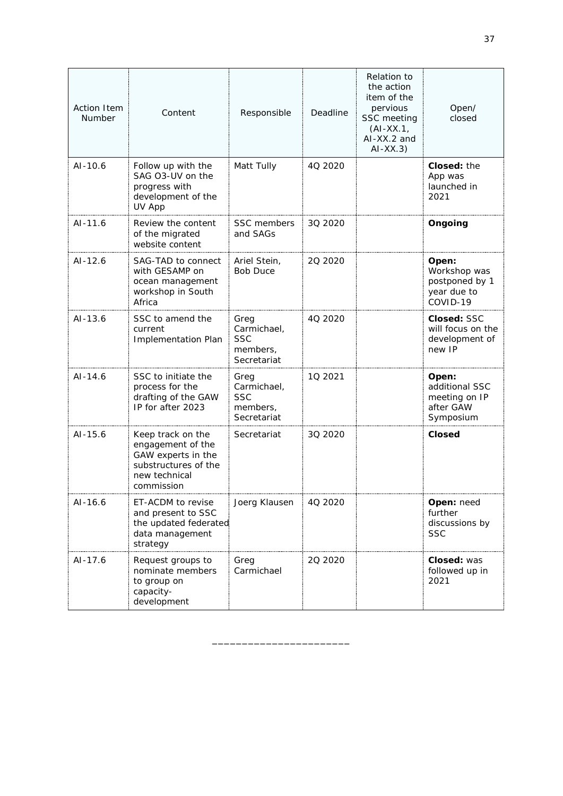| <b>Action Item</b><br>Number | Content                                                                                                             | Responsible                                                  | Deadline | Relation to<br>the action<br>item of the<br>pervious<br>SSC meeting<br>$(AI-XX.1,$<br>$AI$ -XX.2 and<br>$AI-XX.3)$ | Open/<br>closed                                                    |
|------------------------------|---------------------------------------------------------------------------------------------------------------------|--------------------------------------------------------------|----------|--------------------------------------------------------------------------------------------------------------------|--------------------------------------------------------------------|
| $AI-10.6$                    | Follow up with the<br>SAG O3-UV on the<br>progress with<br>development of the<br>UV App                             | Matt Tully                                                   | 40 20 20 |                                                                                                                    | Closed: the<br>App was<br>launched in<br>2021                      |
| $AI-11.6$                    | Review the content<br>of the migrated<br>website content                                                            | SSC members<br>and SAGs                                      | 3Q 2020  |                                                                                                                    | Ongoing                                                            |
| $AI-12.6$                    | SAG-TAD to connect<br>with GESAMP on<br>ocean management<br>workshop in South<br>Africa                             | Ariel Stein,<br><b>Bob Duce</b>                              | 20 20 20 |                                                                                                                    | Open:<br>Workshop was<br>postponed by 1<br>year due to<br>COVID-19 |
| $AI - 13.6$                  | SSC to amend the<br>current<br><b>Implementation Plan</b>                                                           | Greg<br>Carmichael,<br><b>SSC</b><br>members,<br>Secretariat | 4Q 2020  |                                                                                                                    | Closed: SSC<br>will focus on the<br>development of<br>new IP       |
| $AI-14.6$                    | SSC to initiate the<br>process for the<br>drafting of the GAW<br>IP for after 2023                                  | Greg<br>Carmichael,<br><b>SSC</b><br>members,<br>Secretariat | 10 2021  |                                                                                                                    | Open:<br>additional SSC<br>meeting on IP<br>after GAW<br>Symposium |
| $AI - 15.6$                  | Keep track on the<br>engagement of the<br>GAW experts in the<br>substructures of the<br>new technical<br>commission | Secretariat                                                  | 3Q 2020  |                                                                                                                    | <b>Closed</b>                                                      |
| $AI-16.6$                    | ET-ACDM to revise<br>and present to SSC<br>the updated federated<br>data management<br>strategy                     | Joerg Klausen                                                | 4Q 2020  |                                                                                                                    | <b>Open: need</b><br>further<br>discussions by<br><b>SSC</b>       |
| $AI-17.6$                    | Request groups to<br>nominate members<br>to group on<br>capacity-<br>development                                    | Greg<br>Carmichael                                           | 20 20 20 |                                                                                                                    | <b>Closed: was</b><br>followed up in<br>2021                       |

\_\_\_\_\_\_\_\_\_\_\_\_\_\_\_\_\_\_\_\_\_\_\_